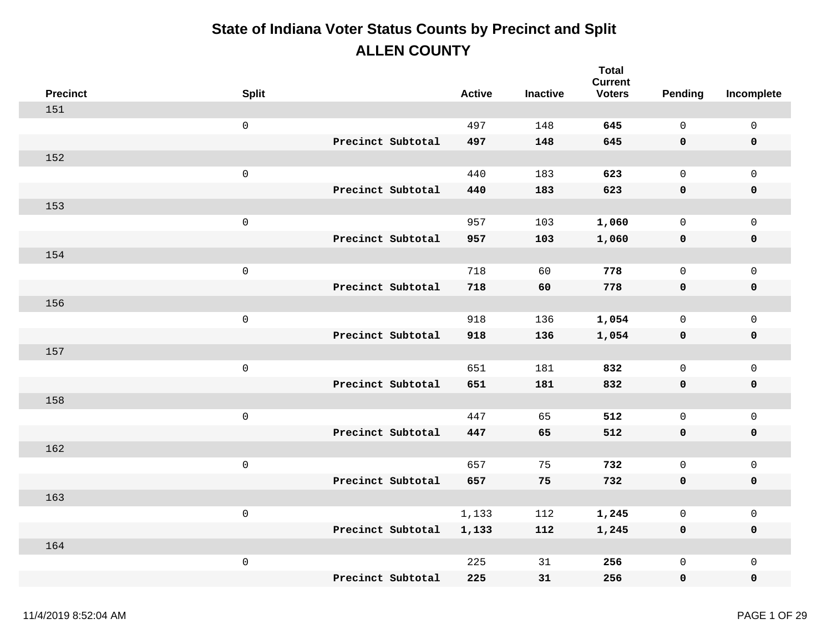| <b>Precinct</b> | <b>Split</b>        |                   | <b>Active</b> | <b>Inactive</b> | <b>Total</b><br><b>Current</b><br><b>Voters</b> | Pending      | Incomplete          |
|-----------------|---------------------|-------------------|---------------|-----------------|-------------------------------------------------|--------------|---------------------|
| 151             |                     |                   |               |                 |                                                 |              |                     |
|                 | $\mathsf 0$         |                   | 497           | 148             | 645                                             | $\mathbf 0$  | $\mathsf{O}\xspace$ |
|                 |                     | Precinct Subtotal | 497           | 148             | 645                                             | 0            | $\pmb{0}$           |
| 152             |                     |                   |               |                 |                                                 |              |                     |
|                 | $\mathsf{O}\xspace$ |                   | 440           | 183             | 623                                             | $\mathsf{O}$ | $\mathbf 0$         |
|                 |                     | Precinct Subtotal | 440           | 183             | 623                                             | 0            | $\pmb{0}$           |
| 153             |                     |                   |               |                 |                                                 |              |                     |
|                 | $\mathbf 0$         |                   | 957           | 103             | 1,060                                           | $\mathbf 0$  | $\mathsf{O}$        |
|                 |                     | Precinct Subtotal | 957           | 103             | 1,060                                           | 0            | $\pmb{0}$           |
| 154             |                     |                   |               |                 |                                                 |              |                     |
|                 | $\mathsf 0$         |                   | 718           | 60              | 778                                             | $\mathsf{O}$ | $\mathbf 0$         |
|                 |                     | Precinct Subtotal | 718           | 60              | 778                                             | 0            | $\pmb{0}$           |
| 156             |                     |                   |               |                 |                                                 |              |                     |
|                 | $\mathsf 0$         |                   | 918           | 136             | 1,054                                           | $\mathsf{O}$ | $\mathsf{O}$        |
|                 |                     | Precinct Subtotal | 918           | 136             | 1,054                                           | 0            | $\pmb{0}$           |
| 157             |                     |                   |               |                 |                                                 |              |                     |
|                 | $\mathsf{O}\xspace$ |                   | 651           | 181             | 832                                             | $\mathsf{O}$ | $\mathsf{O}$        |
|                 |                     | Precinct Subtotal | 651           | 181             | 832                                             | 0            | $\pmb{0}$           |
| 158             |                     |                   |               |                 |                                                 |              |                     |
|                 | $\mathsf{O}\xspace$ |                   | 447           | 65              | 512                                             | $\mathsf{O}$ | $\mathsf{O}\xspace$ |
|                 |                     | Precinct Subtotal | 447           | 65              | 512                                             | 0            | $\mathbf 0$         |
| 162             |                     |                   |               |                 |                                                 |              |                     |
|                 | $\mathsf{O}\xspace$ |                   | 657           | 75              | 732                                             | $\mathsf{O}$ | $\mathsf{O}\xspace$ |
|                 |                     | Precinct Subtotal | 657           | 75              | 732                                             | 0            | $\pmb{0}$           |
| 163             |                     |                   |               |                 |                                                 |              |                     |
|                 | $\mathsf{O}\xspace$ |                   | 1,133         | 112             | 1,245                                           | $\mathsf{O}$ | $\mathsf{O}\xspace$ |
|                 |                     | Precinct Subtotal | 1,133         | 112             | 1,245                                           | 0            | $\mathbf 0$         |
| 164             |                     |                   |               |                 |                                                 |              |                     |
|                 | $\,0\,$             |                   | 225           | 31              | 256                                             | $\mathsf{O}$ | $\mathsf{O}\xspace$ |
|                 |                     | Precinct Subtotal | 225           | 31              | 256                                             | 0            | $\mathbf 0$         |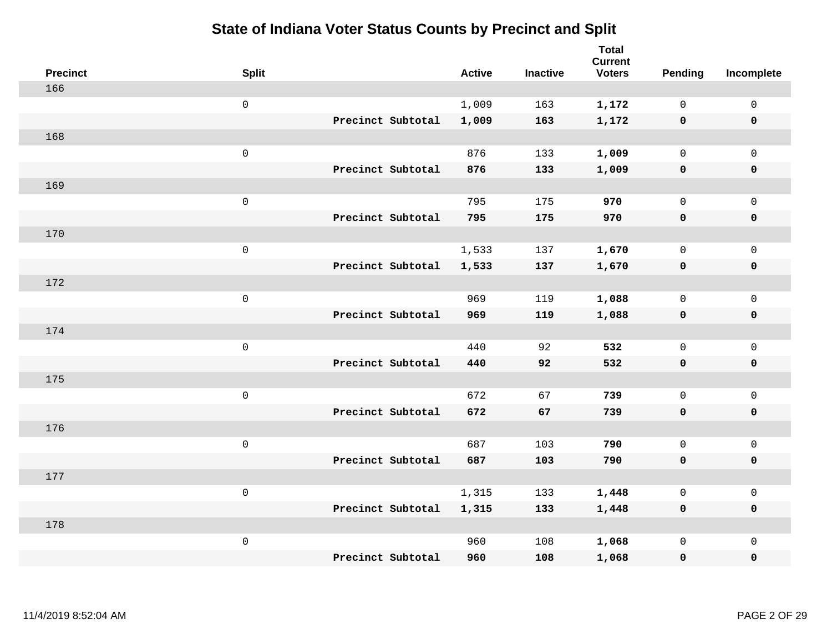| <b>Precinct</b> | <b>Split</b>        |                   | <b>Active</b> | <b>Inactive</b> | <b>Total</b><br><b>Current</b><br><b>Voters</b> | <b>Pending</b> | Incomplete   |
|-----------------|---------------------|-------------------|---------------|-----------------|-------------------------------------------------|----------------|--------------|
| 166             |                     |                   |               |                 |                                                 |                |              |
|                 | $\mathsf{O}$        |                   | 1,009         | 163             | 1,172                                           | $\mathbf 0$    | 0            |
|                 |                     | Precinct Subtotal | 1,009         | 163             | 1,172                                           | $\mathbf 0$    | $\mathbf 0$  |
| 168             |                     |                   |               |                 |                                                 |                |              |
|                 | $\mathsf{O}\xspace$ |                   | 876           | 133             | 1,009                                           | $\mathsf{O}$   | $\mathsf{O}$ |
|                 |                     | Precinct Subtotal | 876           | 133             | 1,009                                           | $\mathbf 0$    | $\pmb{0}$    |
| 169             |                     |                   |               |                 |                                                 |                |              |
|                 | $\mathsf 0$         |                   | 795           | 175             | 970                                             | $\mathbf 0$    | $\mathsf{O}$ |
|                 |                     | Precinct Subtotal | 795           | 175             | 970                                             | $\mathbf 0$    | $\mathbf 0$  |
| 170             |                     |                   |               |                 |                                                 |                |              |
|                 | $\mathsf{O}\xspace$ |                   | 1,533         | 137             | 1,670                                           | $\mathbf 0$    | $\mathbf 0$  |
|                 |                     | Precinct Subtotal | 1,533         | 137             | 1,670                                           | $\mathbf 0$    | $\mathbf 0$  |
| 172             |                     |                   |               |                 |                                                 |                |              |
|                 | $\mathsf{O}$        |                   | 969           | 119             | 1,088                                           | $\mathbf 0$    | $\mathbf 0$  |
|                 |                     | Precinct Subtotal | 969           | 119             | 1,088                                           | 0              | $\mathbf 0$  |
| 174             |                     |                   |               |                 |                                                 |                |              |
|                 | $\mathsf 0$         |                   | 440           | 92              | 532                                             | $\mathsf{O}$   | $\mathsf{O}$ |
|                 |                     | Precinct Subtotal | 440           | 92              | 532                                             | 0              | $\pmb{0}$    |
| 175             |                     |                   |               |                 |                                                 |                |              |
|                 | $\mathsf 0$         |                   | 672           | 67              | 739                                             | $\mathsf{O}$   | $\mathsf{O}$ |
|                 |                     | Precinct Subtotal | 672           | 67              | 739                                             | 0              | $\mathbf 0$  |
| 176             |                     |                   |               |                 |                                                 |                |              |
|                 | $\mathsf 0$         |                   | 687           | 103             | 790                                             | $\mathsf{O}$   | $\mathbf 0$  |
|                 |                     | Precinct Subtotal | 687           | 103             | 790                                             | 0              | $\mathbf 0$  |
| 177             |                     |                   |               |                 |                                                 |                |              |
|                 | $\mathsf 0$         |                   | 1,315         | 133             | 1,448                                           | 0              | $\mathsf 0$  |
|                 |                     | Precinct Subtotal | 1,315         | 133             | 1,448                                           | 0              | $\mathbf 0$  |
| 178             |                     |                   |               |                 |                                                 |                |              |
|                 | $\mathsf 0$         |                   | 960           | 108             | 1,068                                           | 0              | $\mathsf{O}$ |
|                 |                     | Precinct Subtotal | 960           | 108             | 1,068                                           | 0              | $\mathbf 0$  |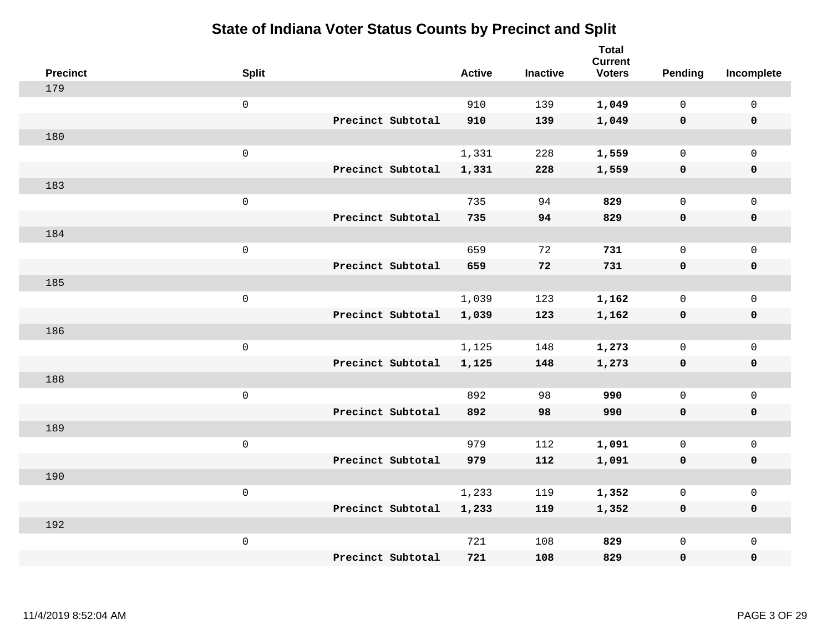| <b>Precinct</b> | <b>Split</b>        | <b>Active</b> | <b>Inactive</b> | <b>Total</b><br><b>Current</b><br><b>Voters</b> | Pending      | Incomplete          |
|-----------------|---------------------|---------------|-----------------|-------------------------------------------------|--------------|---------------------|
| 179             |                     |               |                 |                                                 |              |                     |
|                 | $\mathsf{O}$        | 910           | 139             | 1,049                                           | $\mathbf 0$  | $\mathsf{O}$        |
|                 | Precinct Subtotal   | 910           | 139             | 1,049                                           | $\mathbf 0$  | $\mathbf 0$         |
| 180             |                     |               |                 |                                                 |              |                     |
|                 | $\mathsf{O}\xspace$ | 1,331         | 228             | 1,559                                           | $\mathbf 0$  | $\mathsf{O}$        |
|                 | Precinct Subtotal   | 1,331         | 228             | 1,559                                           | $\mathbf 0$  | 0                   |
| 183             |                     |               |                 |                                                 |              |                     |
|                 | $\mathsf 0$         | 735           | 94              | 829                                             | $\mathbf 0$  | $\mathsf{O}\xspace$ |
|                 | Precinct Subtotal   | 735           | 94              | 829                                             | 0            | 0                   |
| 184             |                     |               |                 |                                                 |              |                     |
|                 | $\mathsf{O}\xspace$ | 659           | 72              | 731                                             | $\mathbf 0$  | $\mathsf{O}\xspace$ |
|                 | Precinct Subtotal   | 659           | 72              | 731                                             | $\mathbf 0$  | 0                   |
| 185             |                     |               |                 |                                                 |              |                     |
|                 | $\mathsf{O}\xspace$ | 1,039         | 123             | 1,162                                           | $\mathbf 0$  | $\mathsf{O}$        |
|                 | Precinct Subtotal   | 1,039         | 123             | 1,162                                           | $\mathbf 0$  | 0                   |
| 186             |                     |               |                 |                                                 |              |                     |
|                 | $\mathsf{O}\xspace$ | 1,125         | 148             | 1,273                                           | $\mathsf{O}$ | $\mathsf{O}$        |
|                 | Precinct Subtotal   | 1,125         | 148             | 1,273                                           | 0            | 0                   |
| 188             |                     |               |                 |                                                 |              |                     |
|                 | $\mathsf 0$         | 892           | 98              | 990                                             | $\mathsf{O}$ | $\mathsf{O}$        |
|                 | Precinct Subtotal   | 892           | 98              | 990                                             | 0            | 0                   |
| 189             |                     |               |                 |                                                 |              |                     |
|                 | $\mathsf 0$         | 979           | 112             | 1,091                                           | $\mathsf{O}$ | $\mathsf{O}\xspace$ |
|                 | Precinct Subtotal   | 979           | 112             | 1,091                                           | 0            | 0                   |
| 190             |                     |               |                 |                                                 |              |                     |
|                 | $\mathsf{O}\xspace$ | 1,233         | 119             | 1,352                                           | 0            | $\mathsf 0$         |
|                 | Precinct Subtotal   | 1,233         | 119             | 1,352                                           | $\mathbf 0$  | 0                   |
| 192             |                     |               |                 |                                                 |              |                     |
|                 | $\mathsf 0$         | 721           | 108             | 829                                             | $\mathsf{O}$ | $\mathsf{O}$        |
|                 | Precinct Subtotal   | 721           | 108             | 829                                             | 0            | 0                   |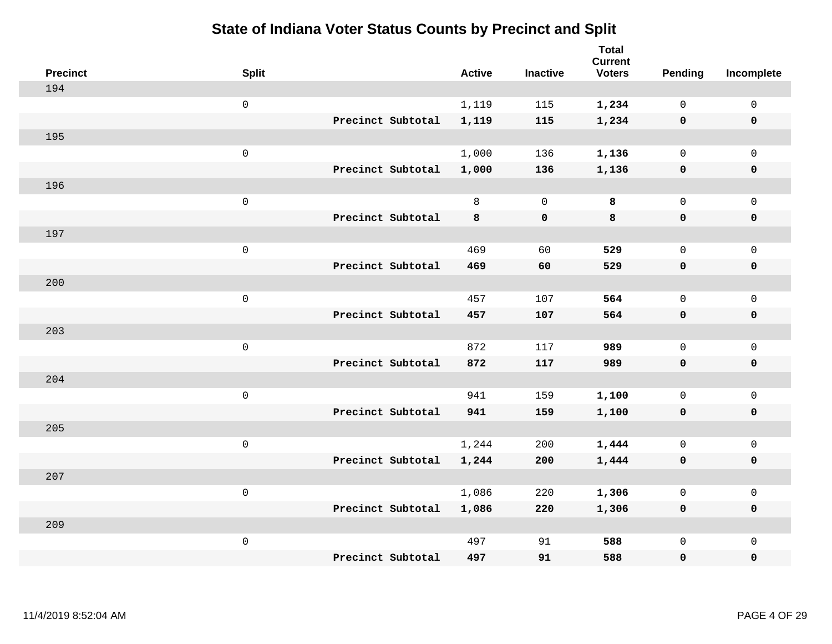| <b>Precinct</b> | <b>Split</b>        |                   | <b>Active</b> | <b>Inactive</b> | <b>Total</b><br><b>Current</b><br><b>Voters</b> | Pending             | Incomplete          |
|-----------------|---------------------|-------------------|---------------|-----------------|-------------------------------------------------|---------------------|---------------------|
| 194             |                     |                   |               |                 |                                                 |                     |                     |
|                 | $\mathbf 0$         |                   | 1,119         | 115             | 1,234                                           | $\mathbf 0$         | $\mathsf{O}$        |
|                 |                     | Precinct Subtotal | 1,119         | 115             | 1,234                                           | $\mathbf 0$         | $\pmb{0}$           |
| 195             |                     |                   |               |                 |                                                 |                     |                     |
|                 | $\mathsf{O}\xspace$ |                   | 1,000         | 136             | 1,136                                           | $\mathbf 0$         | $\mathsf{O}$        |
|                 |                     | Precinct Subtotal | 1,000         | 136             | 1,136                                           | $\mathbf 0$         | 0                   |
| 196             |                     |                   |               |                 |                                                 |                     |                     |
|                 | $\mathbf 0$         |                   | 8             | $\overline{0}$  | 8                                               | $\mathbf 0$         | $\mathsf{O}\xspace$ |
|                 |                     | Precinct Subtotal | 8             | $\mathbf 0$     | 8                                               | $\mathbf 0$         | 0                   |
| 197             |                     |                   |               |                 |                                                 |                     |                     |
|                 | $\mathbf 0$         |                   | 469           | 60              | 529                                             | $\mathsf{O}$        | $\mathsf{O}\xspace$ |
|                 |                     | Precinct Subtotal | 469           | 60              | 529                                             | $\mathbf 0$         | 0                   |
| 200             |                     |                   |               |                 |                                                 |                     |                     |
|                 | $\mathbf 0$         |                   | 457           | 107             | 564                                             | $\mathbf 0$         | $\mathsf{O}$        |
|                 |                     | Precinct Subtotal | 457           | 107             | 564                                             | 0                   | 0                   |
| 203             |                     |                   |               |                 |                                                 |                     |                     |
|                 | $\mathbf 0$         |                   | 872           | 117             | 989                                             | $\mathbf 0$         | $\mathsf{O}$        |
|                 |                     | Precinct Subtotal | 872           | 117             | 989                                             | 0                   | 0                   |
| 204             |                     |                   |               |                 |                                                 |                     |                     |
|                 | $\mathbf 0$         |                   | 941           | 159             | 1,100                                           | $\mathsf{O}$        | $\mathsf{O}$        |
|                 |                     | Precinct Subtotal | 941           | 159             | 1,100                                           | 0                   | 0                   |
| 205             |                     |                   |               |                 |                                                 |                     |                     |
|                 | $\mathbf 0$         |                   | 1,244         | 200             | 1,444                                           | $\mathsf{O}$        | $\mathsf{O}\xspace$ |
|                 |                     | Precinct Subtotal | 1,244         | 200             | 1,444                                           | $\mathbf 0$         | 0                   |
| 207             |                     |                   |               |                 |                                                 |                     |                     |
|                 | $\mathbf 0$         |                   | 1,086         | 220             | 1,306                                           | $\mathsf{O}\xspace$ | $\mathsf{O}\xspace$ |
|                 |                     | Precinct Subtotal | 1,086         | 220             | 1,306                                           | $\mathbf 0$         | 0                   |
| 209             |                     |                   |               |                 |                                                 |                     |                     |
|                 | $\mathbf 0$         |                   | 497           | 91              | 588                                             | $\mathsf{O}$        | $\mathsf{O}$        |
|                 |                     | Precinct Subtotal | 497           | 91              | 588                                             | 0                   | 0                   |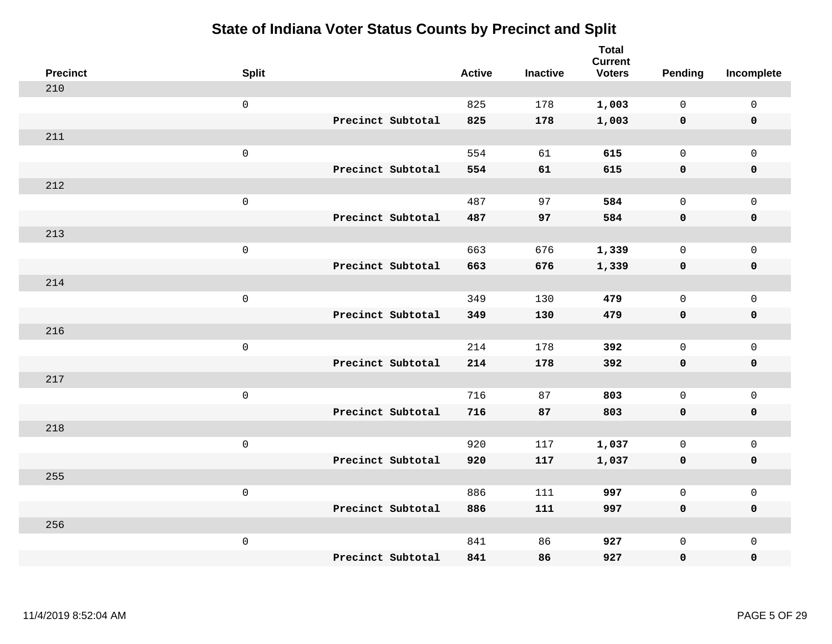| <b>Precinct</b> | <b>Split</b>        |                   | <b>Active</b> | <b>Inactive</b> | <b>Total</b><br><b>Current</b><br><b>Voters</b> | Pending      | Incomplete          |
|-----------------|---------------------|-------------------|---------------|-----------------|-------------------------------------------------|--------------|---------------------|
| 210             |                     |                   |               |                 |                                                 |              |                     |
|                 | $\mathsf 0$         |                   | 825           | 178             | 1,003                                           | $\mathbf 0$  | $\mathsf 0$         |
|                 |                     | Precinct Subtotal | 825           | 178             | 1,003                                           | $\mathbf 0$  | $\mathbf 0$         |
| 211             |                     |                   |               |                 |                                                 |              |                     |
|                 | $\mathsf{O}\xspace$ |                   | 554           | 61              | 615                                             | $\mathsf{O}$ | $\mathsf{O}$        |
|                 |                     | Precinct Subtotal | 554           | 61              | 615                                             | $\mathbf 0$  | 0                   |
| 212             |                     |                   |               |                 |                                                 |              |                     |
|                 | $\mathsf{O}\xspace$ |                   | 487           | 97              | 584                                             | $\mathbf{0}$ | $\mathsf{O}$        |
|                 |                     | Precinct Subtotal | 487           | 97              | 584                                             | $\mathbf 0$  | 0                   |
| 213             |                     |                   |               |                 |                                                 |              |                     |
|                 | $\mathsf{O}\xspace$ |                   | 663           | 676             | 1,339                                           | $\mathbf 0$  | $\mathsf{O}\xspace$ |
|                 |                     | Precinct Subtotal | 663           | 676             | 1,339                                           | $\mathbf 0$  | $\pmb{0}$           |
| 214             |                     |                   |               |                 |                                                 |              |                     |
|                 | $\mathsf{O}\xspace$ |                   | 349           | 130             | 479                                             | $\mathbf 0$  | $\mathsf 0$         |
|                 |                     | Precinct Subtotal | 349           | 130             | 479                                             | 0            | $\mathbf 0$         |
| 216             |                     |                   |               |                 |                                                 |              |                     |
|                 | $\mathsf{O}\xspace$ |                   | 214           | 178             | 392                                             | $\mathbf 0$  | $\mathsf{O}$        |
|                 |                     | Precinct Subtotal | 214           | 178             | 392                                             | 0            | 0                   |
| 217             |                     |                   |               |                 |                                                 |              |                     |
|                 | $\mathsf{O}\xspace$ |                   | 716           | 87              | 803                                             | $\mathbf 0$  | $\mathsf{O}\xspace$ |
|                 |                     | Precinct Subtotal | 716           | 87              | 803                                             | 0            | 0                   |
| 218             |                     |                   |               |                 |                                                 |              |                     |
|                 | $\mathsf 0$         |                   | 920           | 117             | 1,037                                           | $\mathbf 0$  | $\mathsf{O}\xspace$ |
|                 |                     | Precinct Subtotal | 920           | 117             | 1,037                                           | $\mathbf 0$  | 0                   |
| 255             |                     |                   |               |                 |                                                 |              |                     |
|                 | $\mathsf{O}\xspace$ |                   | 886           | 111             | 997                                             | $\mathsf{O}$ | $\mathsf{O}\xspace$ |
|                 |                     | Precinct Subtotal | 886           | 111             | 997                                             | $\mathbf 0$  | 0                   |
| 256             |                     |                   |               |                 |                                                 |              |                     |
|                 | $\mathsf{O}\xspace$ |                   | 841           | 86              | 927                                             | $\mathsf{O}$ | $\mathsf{O}$        |
|                 |                     | Precinct Subtotal | 841           | 86              | 927                                             | 0            | 0                   |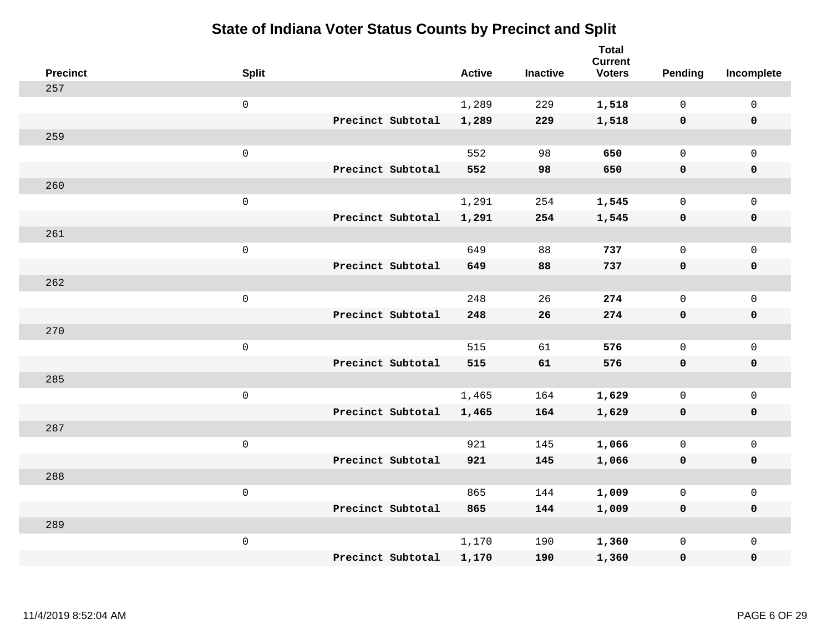| <b>Precinct</b> | <b>Split</b>        |                   | <b>Active</b> | <b>Inactive</b> | <b>Total</b><br><b>Current</b><br><b>Voters</b> | Pending      | Incomplete          |
|-----------------|---------------------|-------------------|---------------|-----------------|-------------------------------------------------|--------------|---------------------|
| 257             |                     |                   |               |                 |                                                 |              |                     |
|                 | $\mathsf{O}$        |                   | 1,289         | 229             | 1,518                                           | $\mathbf 0$  | $\mathsf{O}$        |
|                 |                     | Precinct Subtotal | 1,289         | 229             | 1,518                                           | $\mathbf 0$  | $\pmb{0}$           |
| 259             |                     |                   |               |                 |                                                 |              |                     |
|                 | $\mathsf{O}\xspace$ |                   | 552           | 98              | 650                                             | $\mathbf 0$  | $\mathsf{O}$        |
|                 |                     | Precinct Subtotal | 552           | 98              | 650                                             | 0            | 0                   |
| 260             |                     |                   |               |                 |                                                 |              |                     |
|                 | $\mathsf{O}\xspace$ |                   | 1,291         | 254             | 1,545                                           | $\mathbf 0$  | $\mathsf{O}\xspace$ |
|                 |                     | Precinct Subtotal | 1,291         | 254             | 1,545                                           | 0            | 0                   |
| 261             |                     |                   |               |                 |                                                 |              |                     |
|                 | $\mathsf{O}\xspace$ |                   | 649           | 88              | 737                                             | $\mathbf 0$  | $\mathsf{O}\xspace$ |
|                 |                     | Precinct Subtotal | 649           | 88              | 737                                             | $\mathbf 0$  | 0                   |
| 262             |                     |                   |               |                 |                                                 |              |                     |
|                 | $\mathsf{O}\xspace$ |                   | 248           | 26              | 274                                             | $\mathbf 0$  | $\mathsf{O}$        |
|                 |                     | Precinct Subtotal | 248           | 26              | 274                                             | 0            | 0                   |
| 270             |                     |                   |               |                 |                                                 |              |                     |
|                 | $\mathsf 0$         |                   | 515           | 61              | 576                                             | $\mathsf{O}$ | $\mathsf{O}$        |
|                 |                     | Precinct Subtotal | 515           | 61              | 576                                             | 0            | 0                   |
| 285             |                     |                   |               |                 |                                                 |              |                     |
|                 | $\mathsf{O}\xspace$ |                   | 1,465         | 164             | 1,629                                           | $\mathsf{O}$ | $\mathsf{O}$        |
|                 |                     | Precinct Subtotal | 1,465         | 164             | 1,629                                           | 0            | 0                   |
| 287             |                     |                   |               |                 |                                                 |              |                     |
|                 | $\mathsf 0$         |                   | 921           | 145             | 1,066                                           | $\mathsf{O}$ | $\mathsf{O}\xspace$ |
|                 |                     | Precinct Subtotal | 921           | 145             | 1,066                                           | 0            | 0                   |
| 288             |                     |                   |               |                 |                                                 |              |                     |
|                 | $\mathsf{O}\xspace$ |                   | 865           | 144             | 1,009                                           | $\mathbf 0$  | $\mathsf{O}\xspace$ |
|                 |                     | Precinct Subtotal | 865           | 144             | 1,009                                           | 0            | 0                   |
| 289             |                     |                   |               |                 |                                                 |              |                     |
|                 | $\mathsf 0$         |                   | 1,170         | 190             | 1,360                                           | $\mathsf{O}$ | $\mathsf{O}$        |
|                 |                     | Precinct Subtotal | 1,170         | 190             | 1,360                                           | 0            | 0                   |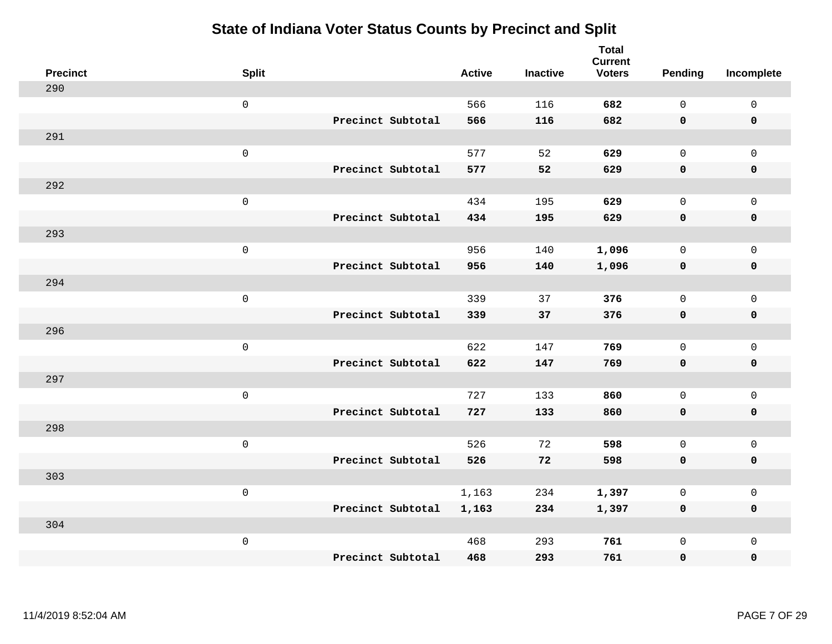|     | <b>Precinct</b> | <b>Split</b>        |                   | <b>Active</b> | <b>Inactive</b> | <b>Total</b><br><b>Current</b><br><b>Voters</b> | Pending      | Incomplete          |
|-----|-----------------|---------------------|-------------------|---------------|-----------------|-------------------------------------------------|--------------|---------------------|
| 290 |                 |                     |                   |               |                 |                                                 |              |                     |
|     |                 | $\mathsf{O}$        |                   | 566           | 116             | 682                                             | $\mathbf 0$  | 0                   |
|     |                 |                     | Precinct Subtotal | 566           | 116             | 682                                             | $\mathbf 0$  | $\mathbf 0$         |
| 291 |                 |                     |                   |               |                 |                                                 |              |                     |
|     |                 | $\mathsf{O}\xspace$ |                   | 577           | 52              | 629                                             | $\mathsf{O}$ | $\mathsf{O}$        |
|     |                 |                     | Precinct Subtotal | 577           | 52              | 629                                             | 0            | $\pmb{0}$           |
| 292 |                 |                     |                   |               |                 |                                                 |              |                     |
|     |                 | $\mathsf{O}\xspace$ |                   | 434           | 195             | 629                                             | $\mathbf{0}$ | $\mathsf{O}$        |
|     |                 |                     | Precinct Subtotal | 434           | 195             | 629                                             | 0            | 0                   |
| 293 |                 |                     |                   |               |                 |                                                 |              |                     |
|     |                 | $\mathsf{O}\xspace$ |                   | 956           | 140             | 1,096                                           | $\mathsf{O}$ | $\mathsf{O}$        |
|     |                 |                     | Precinct Subtotal | 956           | 140             | 1,096                                           | $\mathbf 0$  | 0                   |
| 294 |                 |                     |                   |               |                 |                                                 |              |                     |
|     |                 | $\mathsf{O}\xspace$ |                   | 339           | 37              | 376                                             | $\mathbf{0}$ | $\mathsf{O}\xspace$ |
|     |                 |                     | Precinct Subtotal | 339           | 37              | 376                                             | $\mathbf 0$  | $\pmb{0}$           |
| 296 |                 |                     |                   |               |                 |                                                 |              |                     |
|     |                 | $\mathsf{O}\xspace$ |                   | 622           | 147             | 769                                             | $\mathbf 0$  | $\mathsf{O}\xspace$ |
|     |                 |                     | Precinct Subtotal | 622           | 147             | 769                                             | $\mathbf 0$  | $\pmb{0}$           |
| 297 |                 |                     |                   |               |                 |                                                 |              |                     |
|     |                 | $\mathsf{O}\xspace$ |                   | 727           | 133             | 860                                             | $\mathbf 0$  | $\mathsf 0$         |
|     |                 |                     | Precinct Subtotal | 727           | 133             | 860                                             | 0            | $\pmb{0}$           |
| 298 |                 |                     |                   |               |                 |                                                 |              |                     |
|     |                 | $\mathsf{O}\xspace$ |                   | 526           | 72              | 598                                             | $\mathbf 0$  | $\mathsf{O}$        |
|     |                 |                     | Precinct Subtotal | 526           | 72              | 598                                             | 0            | 0                   |
| 303 |                 |                     |                   |               |                 |                                                 |              |                     |
|     |                 | $\mathsf{O}\xspace$ |                   | 1,163         | 234             | 1,397                                           | $\mathsf{O}$ | $\mathsf{O}$        |
|     |                 |                     | Precinct Subtotal | 1,163         | 234             | 1,397                                           | 0            | 0                   |
| 304 |                 |                     |                   |               |                 |                                                 |              |                     |
|     |                 | $\mathsf{O}\xspace$ |                   | 468           | 293             | 761                                             | $\mathsf{O}$ | $\mathsf{O}\xspace$ |
|     |                 |                     | Precinct Subtotal | 468           | 293             | 761                                             | 0            | 0                   |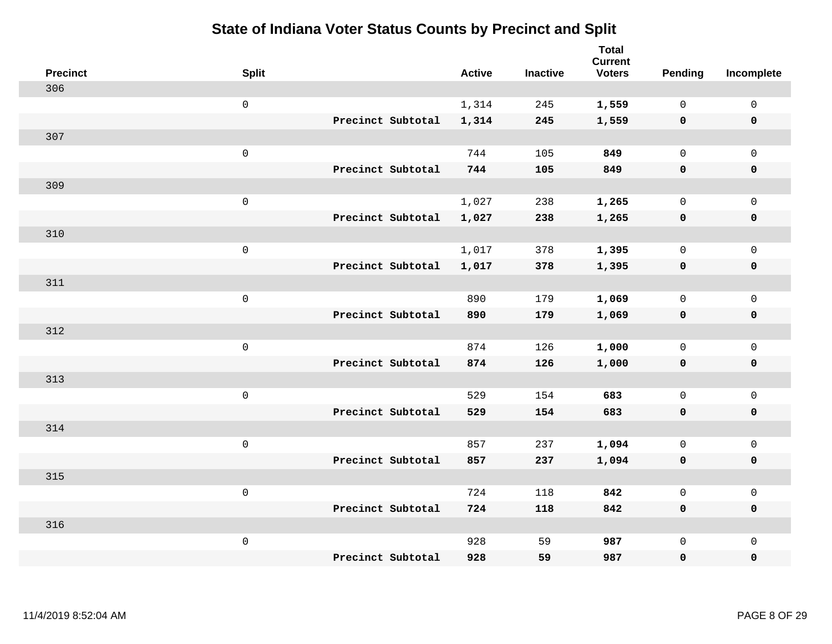| <b>Precinct</b> | <b>Split</b>        |                   | <b>Active</b> | <b>Inactive</b> | <b>Total</b><br><b>Current</b><br><b>Voters</b> | Pending      | Incomplete          |
|-----------------|---------------------|-------------------|---------------|-----------------|-------------------------------------------------|--------------|---------------------|
| 306             |                     |                   |               |                 |                                                 |              |                     |
|                 | $\mathsf{O}$        |                   | 1,314         | 245             | 1,559                                           | $\mathbf 0$  | 0                   |
|                 |                     | Precinct Subtotal | 1,314         | 245             | 1,559                                           | $\mathbf 0$  | $\pmb{0}$           |
| 307             |                     |                   |               |                 |                                                 |              |                     |
|                 | $\mathsf{O}\xspace$ |                   | 744           | 105             | 849                                             | $\mathbf 0$  | $\mathbf{0}$        |
|                 |                     | Precinct Subtotal | 744           | 105             | 849                                             | $\mathbf 0$  | $\pmb{0}$           |
| 309             |                     |                   |               |                 |                                                 |              |                     |
|                 | $\mathbf 0$         |                   | 1,027         | 238             | 1,265                                           | $\mathsf{O}$ | $\mathsf{O}$        |
|                 |                     | Precinct Subtotal | 1,027         | 238             | 1,265                                           | $\mathbf 0$  | 0                   |
| 310             |                     |                   |               |                 |                                                 |              |                     |
|                 | $\mathsf{O}\xspace$ |                   | 1,017         | 378             | 1,395                                           | $\mathbf 0$  | $\mathsf{O}\xspace$ |
|                 |                     | Precinct Subtotal | 1,017         | 378             | 1,395                                           | $\mathbf 0$  | 0                   |
| 311             |                     |                   |               |                 |                                                 |              |                     |
|                 | $\mathbf 0$         |                   | 890           | 179             | 1,069                                           | $\mathbf 0$  | $\mathsf{O}\xspace$ |
|                 |                     | Precinct Subtotal | 890           | 179             | 1,069                                           | 0            | 0                   |
| 312             |                     |                   |               |                 |                                                 |              |                     |
|                 | $\mathsf{O}\xspace$ |                   | 874           | 126             | 1,000                                           | $\mathbf 0$  | $\mathsf{O}\xspace$ |
|                 |                     | Precinct Subtotal | 874           | 126             | 1,000                                           | 0            | 0                   |
| 313             |                     |                   |               |                 |                                                 |              |                     |
|                 | $\mathbf 0$         |                   | 529           | 154             | 683                                             | $\mathbf 0$  | $\mathsf{O}$        |
|                 |                     | Precinct Subtotal | 529           | 154             | 683                                             | 0            | 0                   |
| 314             |                     |                   |               |                 |                                                 |              |                     |
|                 | $\mathsf{O}\xspace$ |                   | 857           | 237             | 1,094                                           | 0            | $\mathsf{O}\xspace$ |
|                 |                     | Precinct Subtotal | 857           | 237             | 1,094                                           | 0            | 0                   |
| 315             |                     |                   |               |                 |                                                 |              |                     |
|                 | $\mathsf 0$         |                   | 724           | 118             | 842                                             | $\mathsf{O}$ | $\mathsf{O}$        |
|                 |                     | Precinct Subtotal | 724           | 118             | 842                                             | 0            | 0                   |
| 316             |                     |                   |               |                 |                                                 |              |                     |
|                 | $\mathbf 0$         |                   | 928           | 59              | 987                                             | $\mathsf{O}$ | $\mathsf{O}$        |
|                 |                     | Precinct Subtotal | 928           | 59              | 987                                             | 0            | 0                   |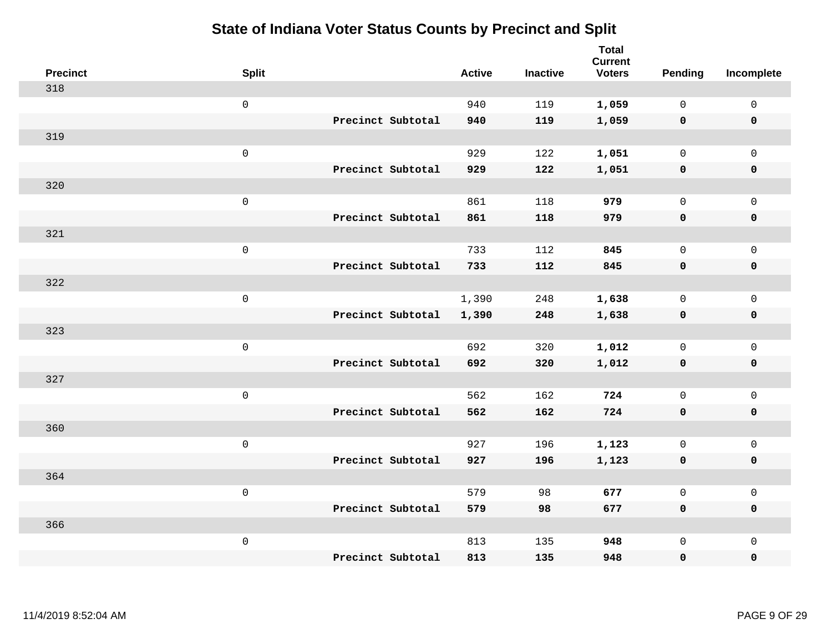| <b>Precinct</b> | <b>Split</b>        |                   | <b>Active</b> | <b>Inactive</b> | <b>Total</b><br><b>Current</b><br><b>Voters</b> | Pending      | Incomplete          |
|-----------------|---------------------|-------------------|---------------|-----------------|-------------------------------------------------|--------------|---------------------|
| 318             |                     |                   |               |                 |                                                 |              |                     |
|                 | $\mathsf{O}$        |                   | 940           | 119             | 1,059                                           | $\mathbf 0$  | $\mathsf{O}\xspace$ |
|                 |                     | Precinct Subtotal | 940           | 119             | 1,059                                           | $\mathbf 0$  | $\pmb{0}$           |
| 319             |                     |                   |               |                 |                                                 |              |                     |
|                 | $\mathsf 0$         |                   | 929           | 122             | 1,051                                           | $\mathbf 0$  | $\mathbf{0}$        |
|                 |                     | Precinct Subtotal | 929           | 122             | 1,051                                           | $\mathbf 0$  | $\pmb{0}$           |
| 320             |                     |                   |               |                 |                                                 |              |                     |
|                 | $\mathbf 0$         |                   | 861           | 118             | 979                                             | $\mathbf 0$  | $\mathsf{O}$        |
|                 |                     | Precinct Subtotal | 861           | 118             | 979                                             | 0            | 0                   |
| 321             |                     |                   |               |                 |                                                 |              |                     |
|                 | $\mathbf 0$         |                   | 733           | 112             | 845                                             | $\mathbf 0$  | $\mathsf{O}\xspace$ |
|                 |                     | Precinct Subtotal | 733           | 112             | 845                                             | $\mathbf 0$  | 0                   |
| 322             |                     |                   |               |                 |                                                 |              |                     |
|                 | $\mathbf 0$         |                   | 1,390         | 248             | 1,638                                           | $\mathbf 0$  | $\mathsf{O}\xspace$ |
|                 |                     | Precinct Subtotal | 1,390         | 248             | 1,638                                           | 0            | 0                   |
| 323             |                     |                   |               |                 |                                                 |              |                     |
|                 | $\mathsf{O}\xspace$ |                   | 692           | 320             | 1,012                                           | $\mathbf 0$  | $\mathsf{O}\xspace$ |
|                 |                     | Precinct Subtotal | 692           | 320             | 1,012                                           | 0            | 0                   |
| 327             |                     |                   |               |                 |                                                 |              |                     |
|                 | $\mathbf 0$         |                   | 562           | 162             | 724                                             | $\mathbf 0$  | $\mathsf{O}$        |
|                 |                     | Precinct Subtotal | 562           | 162             | 724                                             | 0            | 0                   |
| 360             |                     |                   |               |                 |                                                 |              |                     |
|                 | $\mathsf{O}\xspace$ |                   | 927           | 196             | 1,123                                           | $\mathsf{O}$ | $\mathsf{O}\xspace$ |
|                 |                     | Precinct Subtotal | 927           | 196             | 1,123                                           | 0            | 0                   |
| 364             |                     |                   |               |                 |                                                 |              |                     |
|                 | $\mathsf 0$         |                   | 579           | 98              | 677                                             | $\mathbf 0$  | $\mathsf 0$         |
|                 |                     | Precinct Subtotal | 579           | 98              | 677                                             | 0            | 0                   |
| 366             |                     |                   |               |                 |                                                 |              |                     |
|                 | $\mathbf 0$         |                   | 813           | 135             | 948                                             | $\mathsf{O}$ | $\mathsf{O}$        |
|                 |                     | Precinct Subtotal | 813           | 135             | 948                                             | 0            | 0                   |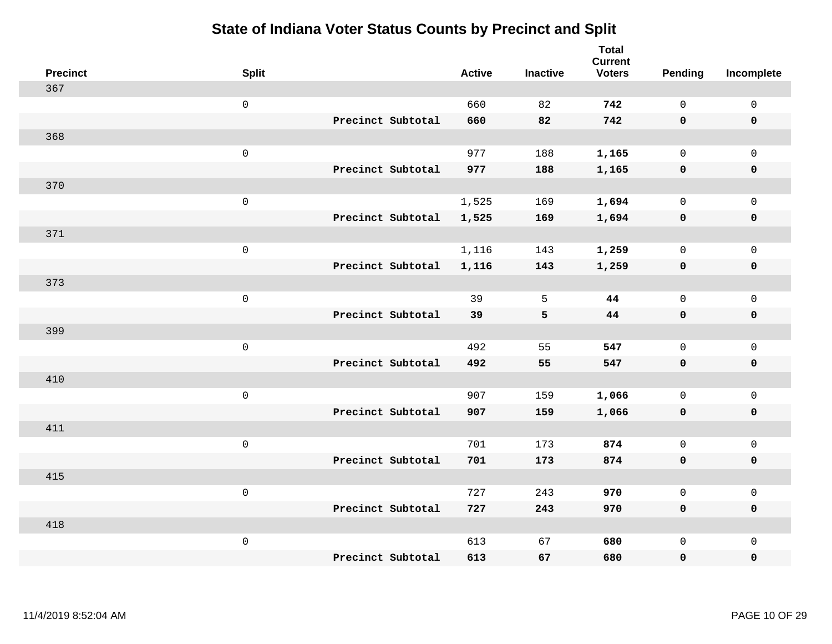| <b>Precinct</b> | <b>Split</b>        |                   | <b>Active</b> | <b>Inactive</b> | <b>Total</b><br><b>Current</b><br><b>Voters</b> | <b>Pending</b> | Incomplete  |
|-----------------|---------------------|-------------------|---------------|-----------------|-------------------------------------------------|----------------|-------------|
| 367             |                     |                   |               |                 |                                                 |                |             |
|                 | $\mathsf{O}\xspace$ |                   | 660           | 82              | 742                                             | $\mathbf 0$    | $\mathsf 0$ |
|                 |                     | Precinct Subtotal | 660           | 82              | 742                                             | $\mathbf 0$    | $\mathbf 0$ |
| 368             |                     |                   |               |                 |                                                 |                |             |
|                 | $\mathbf 0$         |                   | 977           | 188             | 1,165                                           | $\mathsf{O}$   | $\mathbf 0$ |
|                 |                     | Precinct Subtotal | 977           | 188             | 1,165                                           | 0              | $\pmb{0}$   |
| 370             |                     |                   |               |                 |                                                 |                |             |
|                 | $\mathsf 0$         |                   | 1,525         | 169             | 1,694                                           | $\mathbf 0$    | $\mathbf 0$ |
|                 |                     | Precinct Subtotal | 1,525         | 169             | 1,694                                           | $\mathbf 0$    | $\mathbf 0$ |
| 371             |                     |                   |               |                 |                                                 |                |             |
|                 | $\mathbf 0$         |                   | 1,116         | 143             | 1,259                                           | $\mathbf 0$    | $\mathbf 0$ |
|                 |                     | Precinct Subtotal | 1,116         | 143             | 1,259                                           | $\mathbf 0$    | $\mathbf 0$ |
| 373             |                     |                   |               |                 |                                                 |                |             |
|                 | $\mathsf 0$         |                   | 39            | 5               | 44                                              | $\Omega$       | $\mathbf 0$ |
|                 |                     | Precinct Subtotal | 39            | 5               | 44                                              | $\mathbf 0$    | $\mathbf 0$ |
| 399             |                     |                   |               |                 |                                                 |                |             |
|                 | $\mathbf 0$         |                   | 492           | 55              | 547                                             | $\mathbf 0$    | $\mathsf 0$ |
|                 |                     | Precinct Subtotal | 492           | 55              | 547                                             | $\mathbf 0$    | $\mathbf 0$ |
| 410             |                     |                   |               |                 |                                                 |                |             |
|                 | $\mathbf 0$         |                   | 907           | 159             | 1,066                                           | $\mathbf 0$    | $\mathsf 0$ |
|                 |                     | Precinct Subtotal | 907           | 159             | 1,066                                           | 0              | $\mathbf 0$ |
| 411             |                     |                   |               |                 |                                                 |                |             |
|                 | $\mathbf 0$         |                   | 701           | 173             | 874                                             | $\mathbf 0$    | $\mathsf 0$ |
|                 |                     | Precinct Subtotal | 701           | 173             | 874                                             | $\mathbf 0$    | $\mathbf 0$ |
| 415             |                     |                   |               |                 |                                                 |                |             |
|                 | $\mathsf 0$         |                   | 727           | 243             | 970                                             | $\mathsf{O}$   | $\mathsf 0$ |
|                 |                     | Precinct Subtotal | 727           | 243             | 970                                             | $\mathbf 0$    | $\mathbf 0$ |
| 418             |                     |                   |               |                 |                                                 |                |             |
|                 | $\mathbf 0$         |                   | 613           | 67              | 680                                             | $\mathsf{O}$   | $\mathbf 0$ |
|                 |                     | Precinct Subtotal | 613           | 67              | 680                                             | $\mathbf 0$    | $\pmb{0}$   |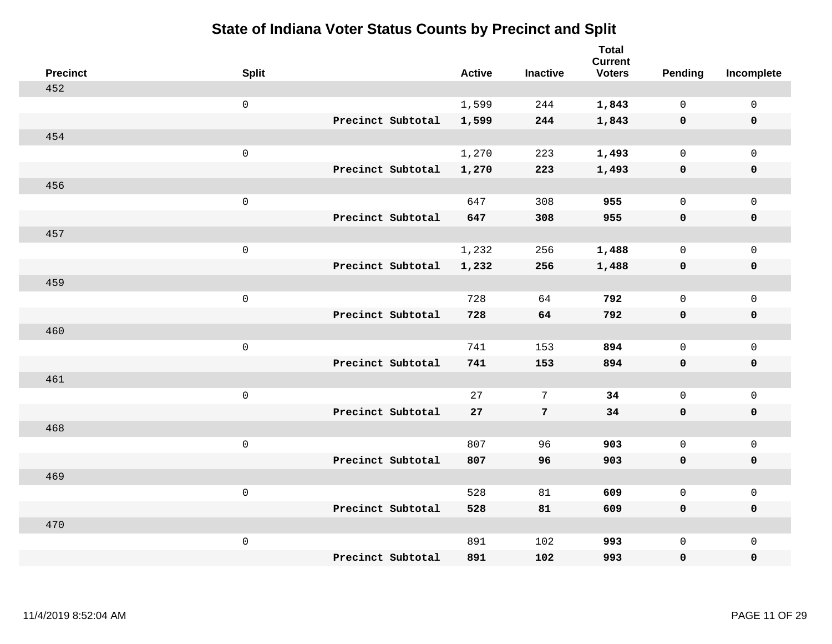| <b>Precinct</b> | <b>Split</b> |                   | <b>Active</b> | <b>Inactive</b> | <b>Total</b><br><b>Current</b><br><b>Voters</b> | Pending      | Incomplete          |
|-----------------|--------------|-------------------|---------------|-----------------|-------------------------------------------------|--------------|---------------------|
| 452             |              |                   |               |                 |                                                 |              |                     |
|                 | $\mathbf 0$  |                   | 1,599         | 244             | 1,843                                           | $\mathbf 0$  | $\mathsf{O}$        |
|                 |              | Precinct Subtotal | 1,599         | 244             | 1,843                                           | $\mathbf 0$  | $\mathbf 0$         |
| 454             |              |                   |               |                 |                                                 |              |                     |
|                 | $\mathsf{O}$ |                   | 1,270         | 223             | 1,493                                           | $\mathsf{O}$ | $\mathsf{O}$        |
|                 |              | Precinct Subtotal | 1,270         | 223             | 1,493                                           | 0            | 0                   |
| 456             |              |                   |               |                 |                                                 |              |                     |
|                 | $\mathbf 0$  |                   | 647           | 308             | 955                                             | $\mathbf 0$  | $\mathsf{O}\xspace$ |
|                 |              | Precinct Subtotal | 647           | 308             | 955                                             | $\mathbf 0$  | 0                   |
| 457             |              |                   |               |                 |                                                 |              |                     |
|                 | $\mathbf 0$  |                   | 1,232         | 256             | 1,488                                           | $\mathbf 0$  | $\mathsf{O}\xspace$ |
|                 |              | Precinct Subtotal | 1,232         | 256             | 1,488                                           | $\mathbf 0$  | 0                   |
| 459             |              |                   |               |                 |                                                 |              |                     |
|                 | $\mathbf 0$  |                   | 728           | 64              | 792                                             | $\mathbf 0$  | $\mathbf 0$         |
|                 |              | Precinct Subtotal | 728           | 64              | 792                                             | $\mathbf 0$  | 0                   |
| 460             |              |                   |               |                 |                                                 |              |                     |
|                 | $\mathbf 0$  |                   | 741           | 153             | 894                                             | $\mathsf{O}$ | $\mathsf{O}$        |
|                 |              | Precinct Subtotal | 741           | 153             | 894                                             | 0            | 0                   |
| 461             |              |                   |               |                 |                                                 |              |                     |
|                 | $\mathbf 0$  |                   | 27            | 7               | 34                                              | $\mathbf{0}$ | $\mathsf{O}$        |
|                 |              | Precinct Subtotal | 27            | 7               | 34                                              | 0            | 0                   |
| 468             |              |                   |               |                 |                                                 |              |                     |
|                 | $\mathbf 0$  |                   | 807           | 96              | 903                                             | $\mathbf{0}$ | $\mathsf{O}\xspace$ |
|                 |              | Precinct Subtotal | 807           | 96              | 903                                             | 0            | 0                   |
| 469             |              |                   |               |                 |                                                 |              |                     |
|                 | $\mathbf 0$  |                   | 528           | 81              | 609                                             | $\mathbf{0}$ | $\mathbf 0$         |
|                 |              | Precinct Subtotal | 528           | 81              | 609                                             | 0            | 0                   |
| 470             |              |                   |               |                 |                                                 |              |                     |
|                 | $\mathbf 0$  |                   | 891           | 102             | 993                                             | $\mathsf{O}$ | $\mathsf{O}$        |
|                 |              | Precinct Subtotal | 891           | 102             | 993                                             | 0            | 0                   |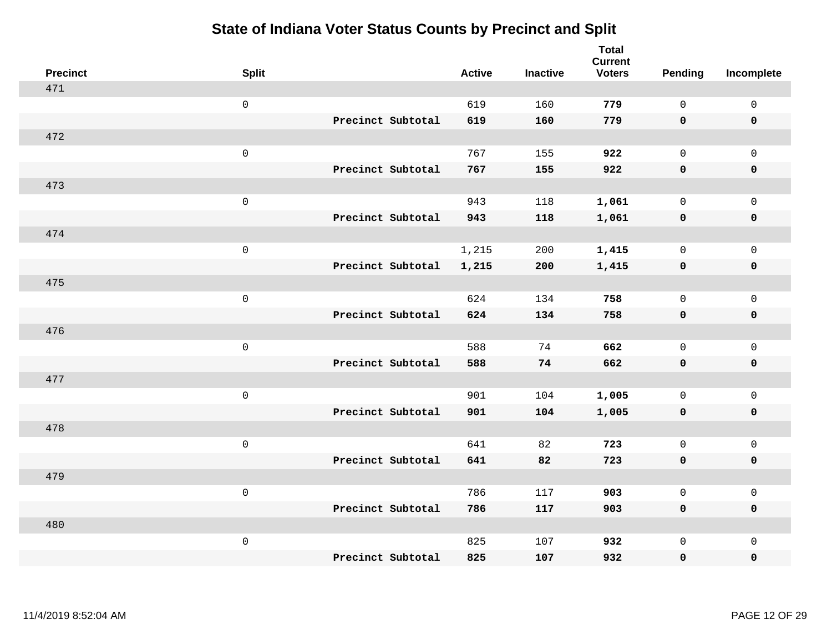| <b>Precinct</b> | <b>Split</b>        |                   | <b>Active</b> | <b>Inactive</b> | <b>Total</b><br><b>Current</b><br><b>Voters</b> | <b>Pending</b> | Incomplete          |
|-----------------|---------------------|-------------------|---------------|-----------------|-------------------------------------------------|----------------|---------------------|
| 471             |                     |                   |               |                 |                                                 |                |                     |
|                 | $\mathsf{O}\xspace$ |                   | 619           | 160             | 779                                             | $\mathbf 0$    | $\mathsf 0$         |
|                 |                     | Precinct Subtotal | 619           | 160             | 779                                             | $\mathbf 0$    | $\mathbf 0$         |
| 472             |                     |                   |               |                 |                                                 |                |                     |
|                 | $\mathsf 0$         |                   | 767           | 155             | 922                                             | $\mathbf 0$    | $\mathbf 0$         |
|                 |                     | Precinct Subtotal | 767           | 155             | 922                                             | $\mathbf 0$    | $\mathbf 0$         |
| 473             |                     |                   |               |                 |                                                 |                |                     |
|                 | $\mathsf 0$         |                   | 943           | 118             | 1,061                                           | $\mathbf 0$    | $\mathbf 0$         |
|                 |                     | Precinct Subtotal | 943           | 118             | 1,061                                           | $\mathbf 0$    | $\mathbf 0$         |
| 474             |                     |                   |               |                 |                                                 |                |                     |
|                 | $\mathbf 0$         |                   | 1,215         | 200             | 1,415                                           | $\mathbf 0$    | $\mathbf 0$         |
|                 |                     | Precinct Subtotal | 1,215         | 200             | 1,415                                           | $\mathbf 0$    | $\mathbf 0$         |
| 475             |                     |                   |               |                 |                                                 |                |                     |
|                 | $\mathsf 0$         |                   | 624           | 134             | 758                                             | $\Omega$       | $\mathbf{0}$        |
|                 |                     | Precinct Subtotal | 624           | 134             | 758                                             | $\mathbf 0$    | $\mathbf 0$         |
| 476             |                     |                   |               |                 |                                                 |                |                     |
|                 | $\mathbf 0$         |                   | 588           | 74              | 662                                             | $\mathbf 0$    | $\mathsf{O}\xspace$ |
|                 |                     | Precinct Subtotal | 588           | 74              | 662                                             | $\mathbf 0$    | $\mathbf 0$         |
| 477             |                     |                   |               |                 |                                                 |                |                     |
|                 | $\mathbf 0$         |                   | 901           | 104             | 1,005                                           | $\mathbf 0$    | $\mathsf{O}\xspace$ |
|                 |                     | Precinct Subtotal | 901           | 104             | 1,005                                           | 0              | $\mathbf 0$         |
| 478             |                     |                   |               |                 |                                                 |                |                     |
|                 | $\mathbf 0$         |                   | 641           | 82              | 723                                             | $\mathbf 0$    | $\mathsf{O}\xspace$ |
|                 |                     | Precinct Subtotal | 641           | 82              | 723                                             | $\mathbf 0$    | $\mathbf 0$         |
| 479             |                     |                   |               |                 |                                                 |                |                     |
|                 | $\mathsf 0$         |                   | 786           | 117             | 903                                             | $\mathsf{O}$   | $\mathsf 0$         |
|                 |                     | Precinct Subtotal | 786           | 117             | 903                                             | $\mathbf 0$    | $\mathbf 0$         |
| 480             |                     |                   |               |                 |                                                 |                |                     |
|                 | $\mathbf 0$         |                   | 825           | 107             | 932                                             | $\mathsf{O}$   | $\mathbf 0$         |
|                 |                     | Precinct Subtotal | 825           | 107             | 932                                             | 0              | $\pmb{0}$           |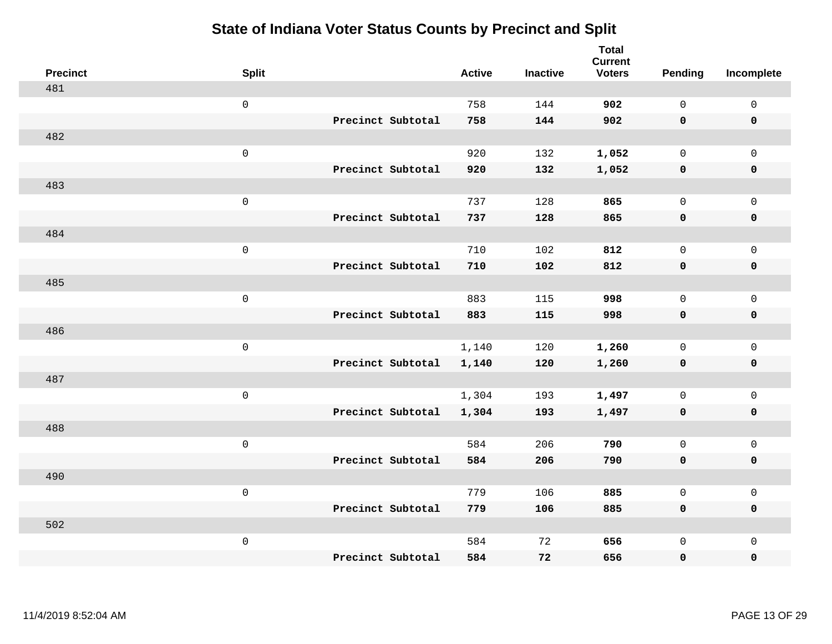| <b>Precinct</b> | <b>Split</b>        |                   | <b>Active</b> | <b>Inactive</b> | <b>Total</b><br><b>Current</b><br><b>Voters</b> | Pending      | Incomplete          |
|-----------------|---------------------|-------------------|---------------|-----------------|-------------------------------------------------|--------------|---------------------|
| 481             |                     |                   |               |                 |                                                 |              |                     |
|                 | $\mathsf{O}\xspace$ |                   | 758           | 144             | 902                                             | $\mathbf 0$  | $\mathsf{O}\xspace$ |
|                 |                     | Precinct Subtotal | 758           | 144             | 902                                             | $\mathbf 0$  | $\mathbf 0$         |
| 482             |                     |                   |               |                 |                                                 |              |                     |
|                 | $\mathsf{O}\xspace$ |                   | 920           | 132             | 1,052                                           | $\mathsf{O}$ | $\mathsf{O}$        |
|                 |                     | Precinct Subtotal | 920           | 132             | 1,052                                           | 0            | 0                   |
| 483             |                     |                   |               |                 |                                                 |              |                     |
|                 | $\mathsf 0$         |                   | 737           | 128             | 865                                             | $\mathbf{0}$ | $\mathsf{O}$        |
|                 |                     | Precinct Subtotal | 737           | 128             | 865                                             | 0            | 0                   |
| 484             |                     |                   |               |                 |                                                 |              |                     |
|                 | $\mathsf{O}\xspace$ |                   | 710           | 102             | 812                                             | $\mathbf{0}$ | $\mathsf{O}\xspace$ |
|                 |                     | Precinct Subtotal | 710           | 102             | 812                                             | $\mathbf 0$  | $\pmb{0}$           |
| 485             |                     |                   |               |                 |                                                 |              |                     |
|                 | $\mathsf 0$         |                   | 883           | 115             | 998                                             | $\Omega$     | $\mathbf 0$         |
|                 |                     | Precinct Subtotal | 883           | 115             | 998                                             | 0            | $\mathbf 0$         |
| 486             |                     |                   |               |                 |                                                 |              |                     |
|                 | $\mathsf{O}\xspace$ |                   | 1,140         | 120             | 1,260                                           | $\mathsf{O}$ | $\mathsf{O}$        |
|                 |                     | Precinct Subtotal | 1,140         | 120             | 1,260                                           | 0            | 0                   |
| 487             |                     |                   |               |                 |                                                 |              |                     |
|                 | $\mathsf{O}\xspace$ |                   | 1,304         | 193             | 1,497                                           | $\mathbf 0$  | $\mathsf{O}\xspace$ |
|                 |                     | Precinct Subtotal | 1,304         | 193             | 1,497                                           | 0            | 0                   |
| 488             |                     |                   |               |                 |                                                 |              |                     |
|                 | $\mathsf 0$         |                   | 584           | 206             | 790                                             | $\mathbf 0$  | $\mathsf{O}\xspace$ |
|                 |                     | Precinct Subtotal | 584           | 206             | 790                                             | 0            | 0                   |
| 490             |                     |                   |               |                 |                                                 |              |                     |
|                 | $\mathsf 0$         |                   | 779           | 106             | 885                                             | $\mathsf{O}$ | $\mathsf{O}$        |
|                 |                     | Precinct Subtotal | 779           | 106             | 885                                             | $\mathbf 0$  | 0                   |
| 502             |                     |                   |               |                 |                                                 |              |                     |
|                 | $\mathsf 0$         |                   | 584           | 72              | 656                                             | $\mathsf{O}$ | $\mathsf{O}$        |
|                 |                     | Precinct Subtotal | 584           | 72              | 656                                             | 0            | 0                   |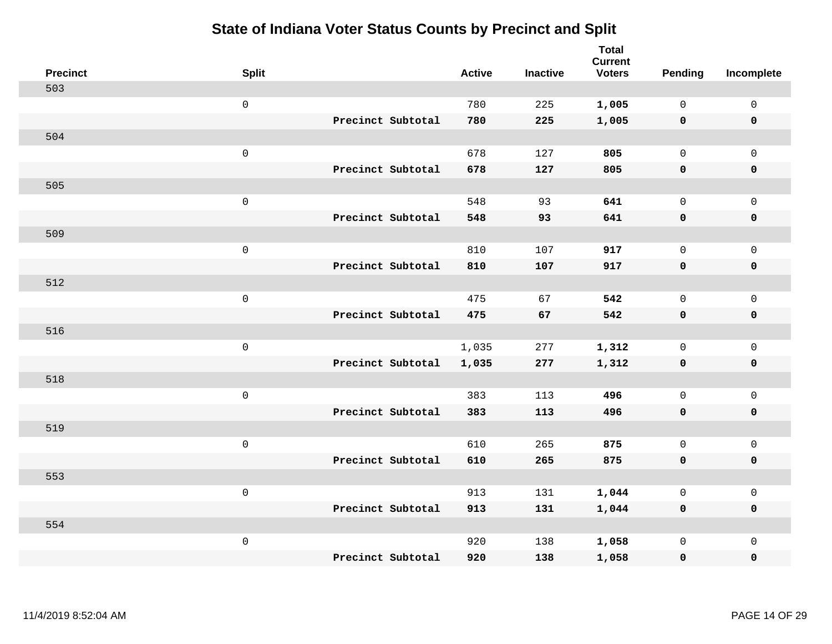| <b>Precinct</b> | <b>Split</b>        |                   | <b>Active</b> | <b>Inactive</b> | <b>Total</b><br><b>Current</b><br><b>Voters</b> | <b>Pending</b> | Incomplete   |
|-----------------|---------------------|-------------------|---------------|-----------------|-------------------------------------------------|----------------|--------------|
| 503             |                     |                   |               |                 |                                                 |                |              |
|                 | $\mathbf 0$         |                   | 780           | 225             | 1,005                                           | $\mathbf{0}$   | $\mathbf 0$  |
|                 |                     | Precinct Subtotal | 780           | 225             | 1,005                                           | $\mathbf 0$    | $\mathbf 0$  |
| 504             |                     |                   |               |                 |                                                 |                |              |
|                 | $\mathsf{O}\xspace$ |                   | 678           | 127             | 805                                             | 0              | $\mathbf 0$  |
|                 |                     | Precinct Subtotal | 678           | 127             | 805                                             | $\mathbf 0$    | $\pmb{0}$    |
| 505             |                     |                   |               |                 |                                                 |                |              |
|                 | $\mathsf{O}\xspace$ |                   | 548           | 93              | 641                                             | $\mathbf{0}$   | $\mathbf 0$  |
|                 |                     | Precinct Subtotal | 548           | 93              | 641                                             | 0              | $\mathbf 0$  |
| 509             |                     |                   |               |                 |                                                 |                |              |
|                 | $\mathsf{O}\xspace$ |                   | 810           | 107             | 917                                             | $\mathbf{0}$   | $\mathbf 0$  |
|                 |                     | Precinct Subtotal | 810           | 107             | 917                                             | $\mathbf 0$    | $\mathbf 0$  |
| 512             |                     |                   |               |                 |                                                 |                |              |
|                 | $\mathsf{O}\xspace$ |                   | 475           | 67              | 542                                             | $\mathbf{0}$   | $\mathbf{0}$ |
|                 |                     | Precinct Subtotal | 475           | 67              | 542                                             | 0              | $\mathbf 0$  |
| 516             |                     |                   |               |                 |                                                 |                |              |
|                 | $\mathsf 0$         |                   | 1,035         | 277             | 1,312                                           | 0              | $\mathsf{O}$ |
|                 |                     | Precinct Subtotal | 1,035         | 277             | 1,312                                           | 0              | $\pmb{0}$    |
| 518             |                     |                   |               |                 |                                                 |                |              |
|                 | $\mathsf 0$         |                   | 383           | 113             | 496                                             | 0              | $\mathbf 0$  |
|                 |                     | Precinct Subtotal | 383           | 113             | 496                                             | 0              | $\mathbf 0$  |
| 519             |                     |                   |               |                 |                                                 |                |              |
|                 | $\mathsf 0$         |                   | 610           | 265             | 875                                             | 0              | $\mathbf 0$  |
|                 |                     | Precinct Subtotal | 610           | 265             | 875                                             | 0              | $\mathbf 0$  |
| 553             |                     |                   |               |                 |                                                 |                |              |
|                 | $\mathsf 0$         |                   | 913           | 131             | 1,044                                           | $\mathbf{0}$   | $\mathbf 0$  |
|                 |                     | Precinct Subtotal | 913           | 131             | 1,044                                           | 0              | $\mathbf 0$  |
| 554             |                     |                   |               |                 |                                                 |                |              |
|                 | $\mathbf 0$         |                   | 920           | 138             | 1,058                                           | 0              | $\mathbf 0$  |
|                 |                     | Precinct Subtotal | 920           | 138             | 1,058                                           | 0              | $\mathbf 0$  |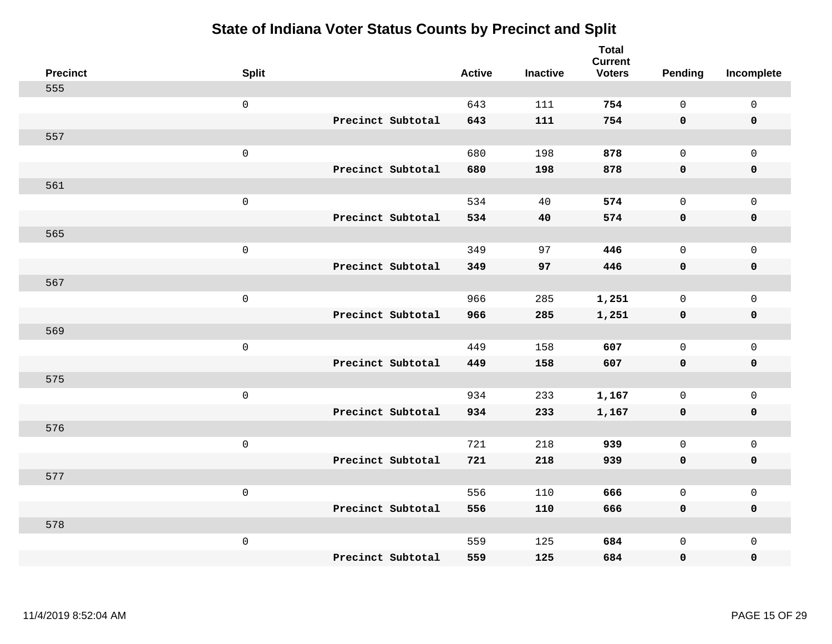| <b>Precinct</b> | <b>Split</b>        |                   | <b>Active</b> | <b>Inactive</b> | <b>Total</b><br><b>Current</b><br><b>Voters</b> | Pending      | Incomplete          |
|-----------------|---------------------|-------------------|---------------|-----------------|-------------------------------------------------|--------------|---------------------|
| 555             |                     |                   |               |                 |                                                 |              |                     |
|                 | $\mathsf 0$         |                   | 643           | 111             | 754                                             | $\mathbf{0}$ | $\mathsf{O}\xspace$ |
|                 |                     | Precinct Subtotal | 643           | 111             | 754                                             | $\mathbf 0$  | $\mathbf 0$         |
| 557             |                     |                   |               |                 |                                                 |              |                     |
|                 | $\mathsf 0$         |                   | 680           | 198             | 878                                             | $\mathbf{0}$ | $\mathsf{O}$        |
|                 |                     | Precinct Subtotal | 680           | 198             | 878                                             | $\mathbf 0$  | 0                   |
| 561             |                     |                   |               |                 |                                                 |              |                     |
|                 | $\mathsf 0$         |                   | 534           | 40              | 574                                             | $\mathbf 0$  | $\mathsf{O}$        |
|                 |                     | Precinct Subtotal | 534           | 40              | 574                                             | 0            | 0                   |
| 565             |                     |                   |               |                 |                                                 |              |                     |
|                 | $\mathsf 0$         |                   | 349           | 97              | 446                                             | $\mathbf{0}$ | $\mathsf{O}\xspace$ |
|                 |                     | Precinct Subtotal | 349           | 97              | 446                                             | $\mathbf 0$  | $\pmb{0}$           |
| 567             |                     |                   |               |                 |                                                 |              |                     |
|                 | $\mathsf 0$         |                   | 966           | 285             | 1,251                                           | $\mathbf 0$  | $\mathsf{O}\xspace$ |
|                 |                     | Precinct Subtotal | 966           | 285             | 1,251                                           | 0            | $\pmb{0}$           |
| 569             |                     |                   |               |                 |                                                 |              |                     |
|                 | $\mathbf 0$         |                   | 449           | 158             | 607                                             | $\mathsf{O}$ | $\mathsf{O}\xspace$ |
|                 |                     | Precinct Subtotal | 449           | 158             | 607                                             | $\mathbf 0$  | 0                   |
| 575             |                     |                   |               |                 |                                                 |              |                     |
|                 | $\mathbf 0$         |                   | 934           | 233             | 1,167                                           | $\mathbf 0$  | $\mathsf{O}\xspace$ |
|                 |                     | Precinct Subtotal | 934           | 233             | 1,167                                           | 0            | 0                   |
| 576             |                     |                   |               |                 |                                                 |              |                     |
|                 | $\mathsf{O}\xspace$ |                   | 721           | 218             | 939                                             | $\mathbf 0$  | $\mathsf{O}\xspace$ |
|                 |                     | Precinct Subtotal | 721           | 218             | 939                                             | 0            | 0                   |
| 577             |                     |                   |               |                 |                                                 |              |                     |
|                 | $\mathsf 0$         |                   | 556           | 110             | 666                                             | $\mathbf 0$  | $\mathsf{O}\xspace$ |
|                 |                     | Precinct Subtotal | 556           | 110             | 666                                             | 0            | 0                   |
| 578             |                     |                   |               |                 |                                                 |              |                     |
|                 | $\mathbf 0$         |                   | 559           | 125             | 684                                             | $\mathsf{O}$ | $\mathsf{O}$        |
|                 |                     | Precinct Subtotal | 559           | 125             | 684                                             | 0            | 0                   |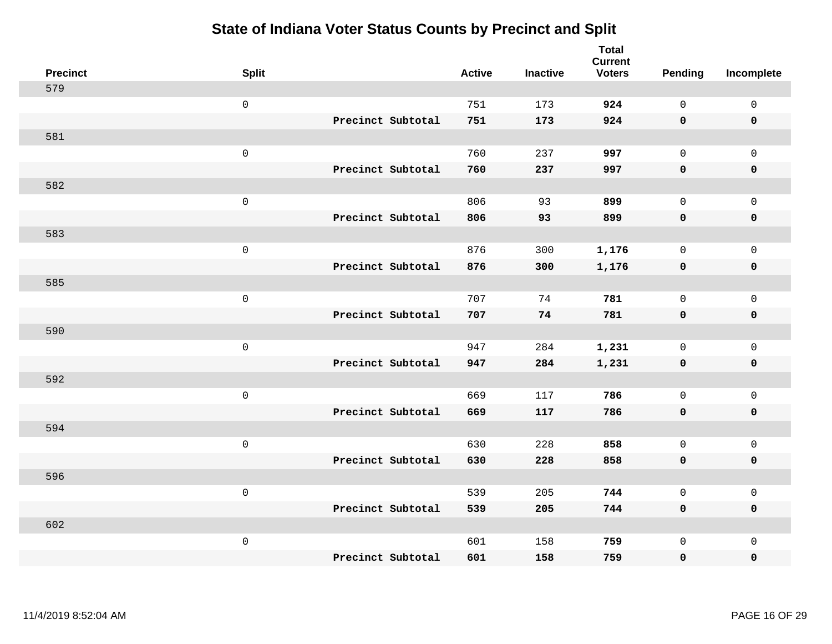| <b>Precinct</b> | <b>Split</b>        |                   | <b>Active</b> | <b>Inactive</b> | <b>Total</b><br><b>Current</b><br><b>Voters</b> | <b>Pending</b> | Incomplete   |
|-----------------|---------------------|-------------------|---------------|-----------------|-------------------------------------------------|----------------|--------------|
| 579             |                     |                   |               |                 |                                                 |                |              |
|                 | $\mathsf{O}\xspace$ |                   | 751           | 173             | 924                                             | $\mathbf 0$    | $\mathbf 0$  |
|                 |                     | Precinct Subtotal | 751           | 173             | 924                                             | $\mathbf 0$    | $\mathbf 0$  |
| 581             |                     |                   |               |                 |                                                 |                |              |
|                 | $\mathsf 0$         |                   | 760           | 237             | 997                                             | $\mathbf 0$    | $\mathbf 0$  |
|                 |                     | Precinct Subtotal | 760           | 237             | 997                                             | $\mathbf 0$    | $\pmb{0}$    |
| 582             |                     |                   |               |                 |                                                 |                |              |
|                 | $\mathsf 0$         |                   | 806           | 93              | 899                                             | $\mathbf 0$    | $\mathsf 0$  |
|                 |                     | Precinct Subtotal | 806           | 93              | 899                                             | $\mathbf 0$    | $\mathbf 0$  |
| 583             |                     |                   |               |                 |                                                 |                |              |
|                 | $\mathbf 0$         |                   | 876           | 300             | 1,176                                           | $\mathbf 0$    | $\mathbf 0$  |
|                 |                     | Precinct Subtotal | 876           | 300             | 1,176                                           | $\mathbf 0$    | $\mathbf 0$  |
| 585             |                     |                   |               |                 |                                                 |                |              |
|                 | $\mathsf 0$         |                   | 707           | 74              | 781                                             | $\Omega$       | $\mathbf{0}$ |
|                 |                     | Precinct Subtotal | 707           | 74              | 781                                             | $\mathbf 0$    | $\mathbf 0$  |
| 590             |                     |                   |               |                 |                                                 |                |              |
|                 | $\mathbf 0$         |                   | 947           | 284             | 1,231                                           | $\mathbf 0$    | $\mathbf 0$  |
|                 |                     | Precinct Subtotal | 947           | 284             | 1,231                                           | $\mathbf 0$    | $\mathbf 0$  |
| 592             |                     |                   |               |                 |                                                 |                |              |
|                 | $\mathbf 0$         |                   | 669           | 117             | 786                                             | $\mathbf 0$    | $\mathsf 0$  |
|                 |                     | Precinct Subtotal | 669           | 117             | 786                                             | $\mathbf 0$    | $\mathbf 0$  |
| 594             |                     |                   |               |                 |                                                 |                |              |
|                 | $\mathbf 0$         |                   | 630           | 228             | 858                                             | $\mathbf 0$    | $\mathbf 0$  |
|                 |                     | Precinct Subtotal | 630           | 228             | 858                                             | $\mathbf 0$    | $\mathbf 0$  |
| 596             |                     |                   |               |                 |                                                 |                |              |
|                 | $\mathbf 0$         |                   | 539           | 205             | 744                                             | $\mathsf{O}$   | $\mathsf 0$  |
|                 |                     | Precinct Subtotal | 539           | 205             | 744                                             | $\mathbf 0$    | $\mathbf 0$  |
| 602             |                     |                   |               |                 |                                                 |                |              |
|                 | $\mathbf 0$         |                   | 601           | 158             | 759                                             | $\mathbf 0$    | $\mathbf 0$  |
|                 |                     | Precinct Subtotal | 601           | 158             | 759                                             | $\mathbf 0$    | $\pmb{0}$    |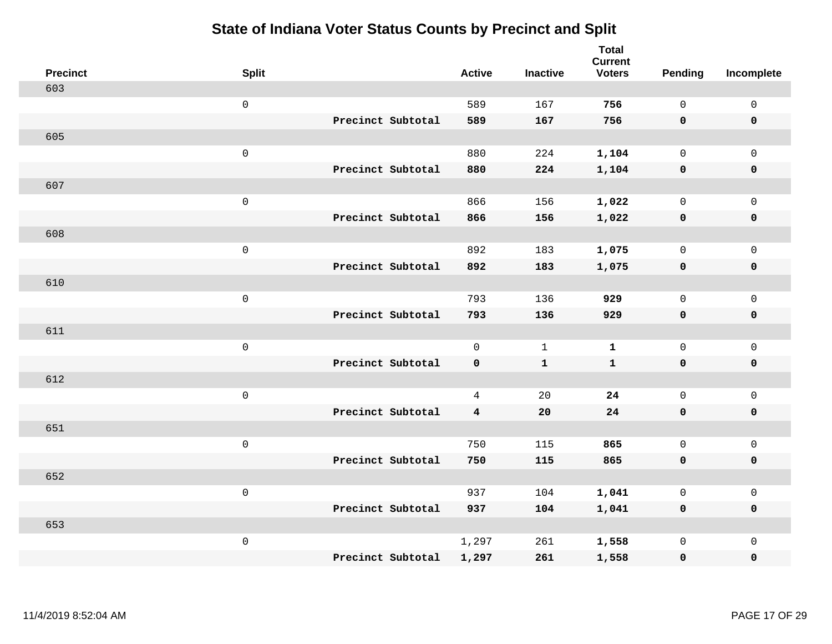| <b>Precinct</b> | <b>Split</b>        | <b>Active</b> | <b>Inactive</b> | <b>Total</b><br><b>Current</b><br><b>Voters</b> | Pending      | Incomplete  |
|-----------------|---------------------|---------------|-----------------|-------------------------------------------------|--------------|-------------|
| 603             |                     |               |                 |                                                 |              |             |
|                 | $\mathsf{O}\xspace$ | 589           | 167             | 756                                             | $\mathsf{O}$ | $\mathsf 0$ |
|                 | Precinct Subtotal   | 589           | 167             | 756                                             | $\mathbf 0$  | $\mathbf 0$ |
| 605             |                     |               |                 |                                                 |              |             |
|                 | $\mathbf 0$         | 880           | 224             | 1,104                                           | $\mathbf 0$  | $\mathbf 0$ |
|                 | Precinct Subtotal   | 880           | 224             | 1,104                                           | $\mathbf 0$  | $\mathbf 0$ |
| 607             |                     |               |                 |                                                 |              |             |
|                 | $\mathsf 0$         | 866           | 156             | 1,022                                           | $\mathbf 0$  | $\mathsf 0$ |
|                 | Precinct Subtotal   | 866           | 156             | 1,022                                           | $\mathbf 0$  | $\mathbf 0$ |
| 608             |                     |               |                 |                                                 |              |             |
|                 | $\mathsf 0$         | 892           | 183             | 1,075                                           | $\mathsf{O}$ | $\mathbf 0$ |
|                 | Precinct Subtotal   | 892           | 183             | 1,075                                           | $\mathbf 0$  | $\mathbf 0$ |
| 610             |                     |               |                 |                                                 |              |             |
|                 | $\mathbf 0$         | 793           | 136             | 929                                             | $\mathbf 0$  | $\mathsf 0$ |
|                 | Precinct Subtotal   | 793           | 136             | 929                                             | $\mathbf 0$  | $\mathbf 0$ |
| 611             |                     |               |                 |                                                 |              |             |
|                 | $\mathbf 0$         | $\mathbf{0}$  | 1               | $\mathbf{1}$                                    | $\mathbf 0$  | $\mathsf 0$ |
|                 | Precinct Subtotal   | $\mathbf 0$   | ${\bf 1}$       | $\mathbf{1}$                                    | $\mathbf 0$  | $\mathbf 0$ |
| 612             |                     |               |                 |                                                 |              |             |
|                 | $\mathbf 0$         | 4             | 20              | 24                                              | $\mathsf{O}$ | $\mathsf 0$ |
|                 | Precinct Subtotal   | 4             | 20              | 24                                              | 0            | 0           |
| 651             |                     |               |                 |                                                 |              |             |
|                 | $\mathbf 0$         | 750           | 115             | 865                                             | $\mathsf{O}$ | $\mathsf 0$ |
|                 | Precinct Subtotal   | 750           | 115             | 865                                             | $\mathbf 0$  | $\pmb{0}$   |
| 652             |                     |               |                 |                                                 |              |             |
|                 | $\mathbf 0$         | 937           | 104             | 1,041                                           | $\mathbf 0$  | $\mathbf 0$ |
|                 | Precinct Subtotal   | 937           | 104             | 1,041                                           | 0            | $\mathbf 0$ |
| 653             |                     |               |                 |                                                 |              |             |
|                 | $\mathbf 0$         | 1,297         | 261             | 1,558                                           | $\mathsf{O}$ | $\mathbf 0$ |
|                 | Precinct Subtotal   | 1,297         | 261             | 1,558                                           | 0            | $\pmb{0}$   |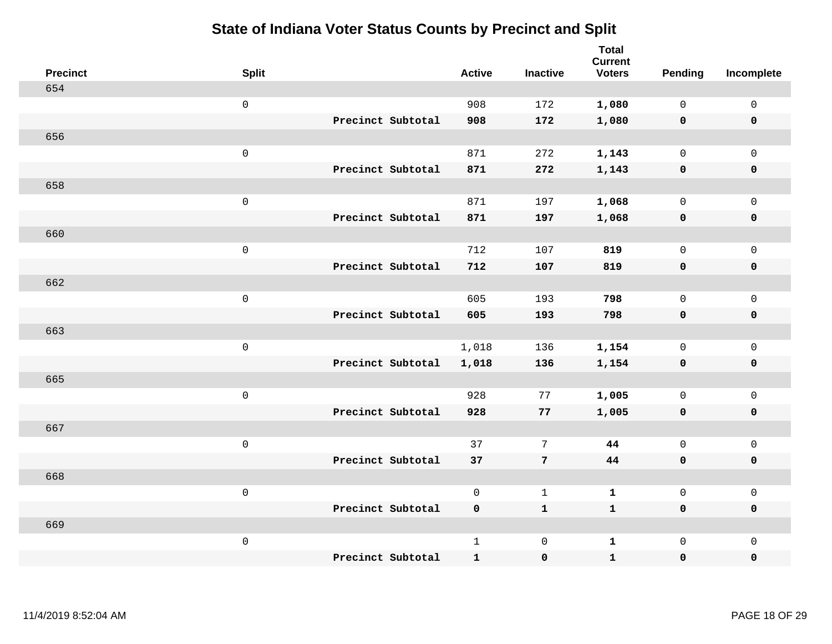| <b>Precinct</b> | <b>Split</b>        |                   | <b>Active</b> | <b>Inactive</b> | <b>Total</b><br><b>Current</b><br><b>Voters</b> | Pending      | Incomplete          |
|-----------------|---------------------|-------------------|---------------|-----------------|-------------------------------------------------|--------------|---------------------|
| 654             |                     |                   |               |                 |                                                 |              |                     |
|                 | $\mathsf{O}\xspace$ |                   | 908           | 172             | 1,080                                           | $\mathbf 0$  | $\mathsf{O}\xspace$ |
|                 |                     | Precinct Subtotal | 908           | 172             | 1,080                                           | $\mathbf 0$  | $\pmb{0}$           |
| 656             |                     |                   |               |                 |                                                 |              |                     |
|                 | $\mathsf 0$         |                   | 871           | 272             | 1,143                                           | $\mathsf{O}$ | $\mathsf{O}\xspace$ |
|                 |                     | Precinct Subtotal | 871           | 272             | 1,143                                           | $\mathbf 0$  | $\pmb{0}$           |
| 658             |                     |                   |               |                 |                                                 |              |                     |
|                 | $\mathsf 0$         |                   | 871           | 197             | 1,068                                           | $\mathbf 0$  | $\mathsf{O}$        |
|                 |                     | Precinct Subtotal | 871           | 197             | 1,068                                           | $\mathbf 0$  | $\pmb{0}$           |
| 660             |                     |                   |               |                 |                                                 |              |                     |
|                 | $\mathsf 0$         |                   | 712           | 107             | 819                                             | $\mathbf 0$  | $\mathbf{0}$        |
|                 |                     | Precinct Subtotal | 712           | 107             | 819                                             | $\mathbf 0$  | $\pmb{0}$           |
| 662             |                     |                   |               |                 |                                                 |              |                     |
|                 | $\mathsf 0$         |                   | 605           | 193             | 798                                             | $\mathsf{O}$ | $\mathsf{O}\xspace$ |
|                 |                     | Precinct Subtotal | 605           | 193             | 798                                             | 0            | $\pmb{0}$           |
| 663             |                     |                   |               |                 |                                                 |              |                     |
|                 | $\mathbf 0$         |                   | 1,018         | 136             | 1,154                                           | $\mathbf 0$  | $\mathsf{O}$        |
|                 |                     | Precinct Subtotal | 1,018         | 136             | 1,154                                           | 0            | $\pmb{0}$           |
| 665             |                     |                   |               |                 |                                                 |              |                     |
|                 | $\mathsf 0$         |                   | 928           | 77              | 1,005                                           | $\mathbf 0$  | $\mathsf{O}\xspace$ |
|                 |                     | Precinct Subtotal | 928           | 77              | 1,005                                           | 0            | 0                   |
| 667             |                     |                   |               |                 |                                                 |              |                     |
|                 | $\mathbf 0$         |                   | 37            | 7               | 44                                              | $\mathbf 0$  | $\mathsf{O}\xspace$ |
|                 |                     | Precinct Subtotal | 37            | $\overline{7}$  | 44                                              | $\mathbf 0$  | 0                   |
| 668             |                     |                   |               |                 |                                                 |              |                     |
|                 | $\mathbf 0$         |                   | $\mathsf{O}$  | $\mathbf{1}$    | $\mathbf{1}$                                    | $\mathbf 0$  | $\mathsf{O}\xspace$ |
|                 |                     | Precinct Subtotal | 0             | $\mathbf{1}$    | $\mathbf{1}$                                    | $\mathbf 0$  | 0                   |
| 669             |                     |                   |               |                 |                                                 |              |                     |
|                 | $\mathbf 0$         |                   | $\mathbf{1}$  | $\mathbf 0$     | $\mathbf{1}$                                    | $\mathsf{O}$ | $\mathsf{O}\xspace$ |
|                 |                     | Precinct Subtotal | $\mathbf{1}$  | $\pmb{0}$       | $\mathbf{1}$                                    | 0            | 0                   |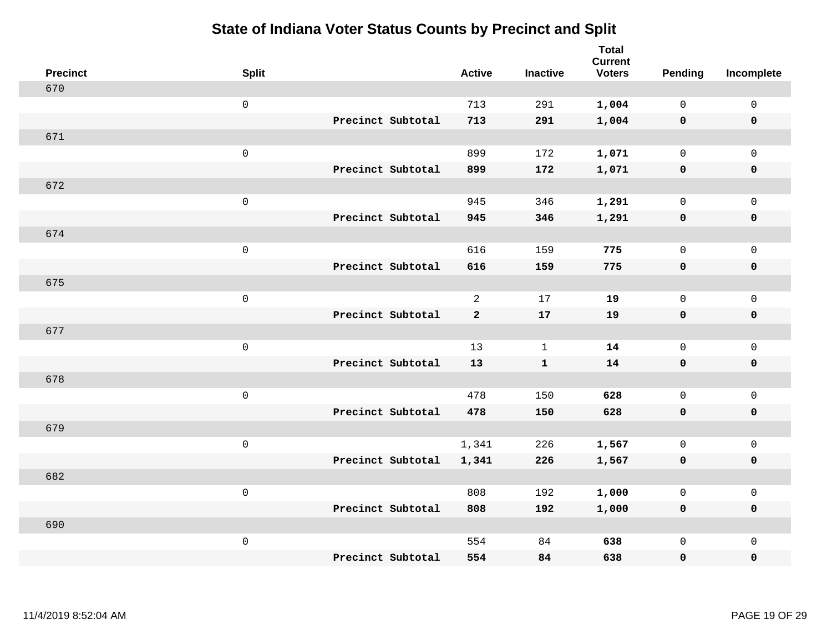| <b>Precinct</b> | <b>Split</b>        |                   | <b>Active</b> |                | <b>Inactive</b> | <b>Total</b><br><b>Current</b><br><b>Voters</b> | Pending      | Incomplete          |
|-----------------|---------------------|-------------------|---------------|----------------|-----------------|-------------------------------------------------|--------------|---------------------|
| 670             |                     |                   |               |                |                 |                                                 |              |                     |
|                 | $\mathsf{O}$        |                   | 713           |                | 291             | 1,004                                           | $\mathbf 0$  | $\mathsf{O}\xspace$ |
|                 |                     | Precinct Subtotal | 713           |                | 291             | 1,004                                           | $\mathbf 0$  | $\pmb{0}$           |
| 671             |                     |                   |               |                |                 |                                                 |              |                     |
|                 | $\mathsf 0$         |                   | 899           |                | 172             | 1,071                                           | $\mathbf 0$  | $\mathsf{O}\xspace$ |
|                 |                     | Precinct Subtotal | 899           |                | 172             | 1,071                                           | $\mathbf 0$  | $\pmb{0}$           |
| 672             |                     |                   |               |                |                 |                                                 |              |                     |
|                 | $\mathsf 0$         |                   | 945           |                | 346             | 1,291                                           | $\mathsf{O}$ | $\mathsf{O}\xspace$ |
|                 |                     | Precinct Subtotal | 945           |                | 346             | 1,291                                           | 0            | 0                   |
| 674             |                     |                   |               |                |                 |                                                 |              |                     |
|                 | $\mathbf 0$         |                   | 616           |                | 159             | 775                                             | $\mathsf{O}$ | $\mathsf{O}\xspace$ |
|                 |                     | Precinct Subtotal | 616           |                | 159             | 775                                             | $\mathbf 0$  | 0                   |
| 675             |                     |                   |               |                |                 |                                                 |              |                     |
|                 | $\mathbf 0$         |                   |               | $\overline{a}$ | 17              | 19                                              | $\mathbf 0$  | $\mathsf{O}\xspace$ |
|                 |                     | Precinct Subtotal |               | $\mathbf{2}$   | 17              | 19                                              | $\mathbf 0$  | 0                   |
| 677             |                     |                   |               |                |                 |                                                 |              |                     |
|                 | $\mathsf{O}\xspace$ |                   | 13            |                | $\mathbf{1}$    | 14                                              | $\mathsf{O}$ | $\mathsf{O}\xspace$ |
|                 |                     | Precinct Subtotal | 13            |                | ${\bf 1}$       | 14                                              | $\mathbf 0$  | 0                   |
| 678             |                     |                   |               |                |                 |                                                 |              |                     |
|                 | $\mathbf 0$         |                   | 478           |                | 150             | 628                                             | $\mathbf 0$  | $\mathsf{O}$        |
|                 |                     | Precinct Subtotal | 478           |                | 150             | 628                                             | 0            | 0                   |
| 679             |                     |                   |               |                |                 |                                                 |              |                     |
|                 | $\mathsf{O}\xspace$ |                   | 1,341         |                | 226             | 1,567                                           | 0            | $\mathsf{O}\xspace$ |
|                 |                     | Precinct Subtotal | 1,341         |                | 226             | 1,567                                           | 0            | 0                   |
| 682             |                     |                   |               |                |                 |                                                 |              |                     |
|                 | $\mathsf 0$         |                   | 808           |                | 192             | 1,000                                           | $\mathsf{O}$ | $\mathsf{O}\xspace$ |
|                 |                     | Precinct Subtotal | 808           |                | 192             | 1,000                                           | 0            | 0                   |
| 690             |                     |                   |               |                |                 |                                                 |              |                     |
|                 | $\mathbf 0$         |                   | 554           |                | 84              | 638                                             | $\mathsf{O}$ | $\mathsf{O}$        |
|                 |                     | Precinct Subtotal |               | 554            | 84              | 638                                             | 0            | $\pmb{0}$           |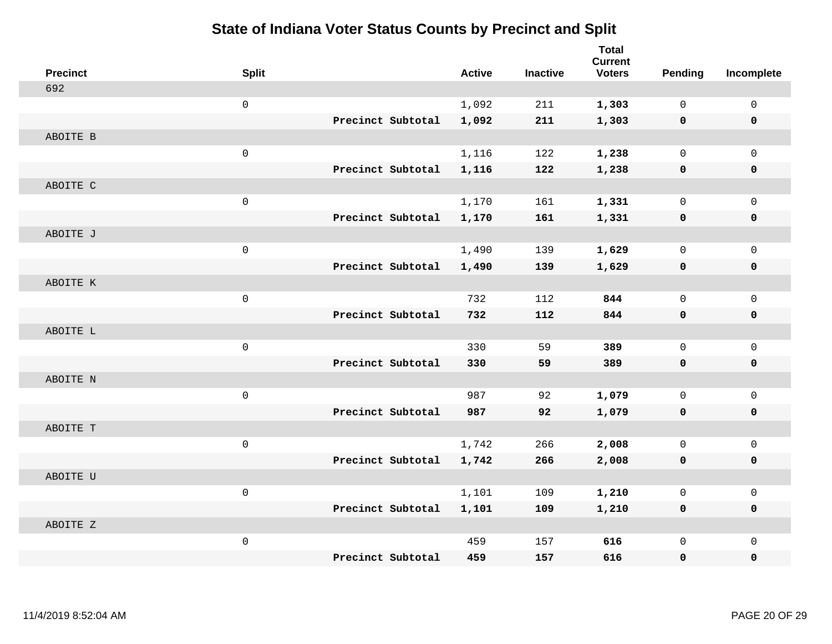| <b>Precinct</b> | <b>Split</b>        |                   | <b>Active</b> | <b>Inactive</b> | <b>Total</b><br><b>Current</b><br><b>Voters</b> | <b>Pending</b> | Incomplete   |
|-----------------|---------------------|-------------------|---------------|-----------------|-------------------------------------------------|----------------|--------------|
| 692             |                     |                   |               |                 |                                                 |                |              |
|                 | $\mathsf{O}\xspace$ |                   | 1,092         | 211             | 1,303                                           | $\mathbf 0$    | $\mathbf 0$  |
|                 |                     | Precinct Subtotal | 1,092         | 211             | 1,303                                           | $\mathbf 0$    | $\mathbf 0$  |
| ABOITE B        |                     |                   |               |                 |                                                 |                |              |
|                 | $\mathbf 0$         |                   | 1,116         | 122             | 1,238                                           | 0              | $\Omega$     |
|                 |                     | Precinct Subtotal | 1,116         | 122             | 1,238                                           | $\mathbf 0$    | $\mathbf 0$  |
| ABOITE C        |                     |                   |               |                 |                                                 |                |              |
|                 | $\mathsf 0$         |                   | 1,170         | 161             | 1,331                                           | 0              | $\mathbf{0}$ |
|                 |                     | Precinct Subtotal | 1,170         | 161             | 1,331                                           | 0              | $\mathbf 0$  |
| ABOITE J        |                     |                   |               |                 |                                                 |                |              |
|                 | $\mathsf{O}\xspace$ |                   | 1,490         | 139             | 1,629                                           | 0              | $\mathbf 0$  |
|                 |                     | Precinct Subtotal | 1,490         | 139             | 1,629                                           | 0              | $\mathbf 0$  |
| ABOITE K        |                     |                   |               |                 |                                                 |                |              |
|                 | $\mathsf 0$         |                   | 732           | 112             | 844                                             | 0              | $\mathbf{0}$ |
|                 |                     | Precinct Subtotal | 732           | 112             | 844                                             | 0              | $\mathbf 0$  |
| ABOITE L        |                     |                   |               |                 |                                                 |                |              |
|                 | $\mathbf 0$         |                   | 330           | 59              | 389                                             | 0              | $\mathbf 0$  |
|                 |                     | Precinct Subtotal | 330           | 59              | 389                                             | $\mathbf 0$    | $\mathbf 0$  |
| ABOITE N        |                     |                   |               |                 |                                                 |                |              |
|                 | $\mathsf 0$         |                   | 987           | 92              | 1,079                                           | 0              | $\mathbf{0}$ |
|                 |                     | Precinct Subtotal | 987           | 92              | 1,079                                           | $\mathbf 0$    | $\mathbf 0$  |
| ABOITE T        |                     |                   |               |                 |                                                 |                |              |
|                 | $\mathsf{O}\xspace$ |                   | 1,742         | 266             | 2,008                                           | 0              | $\mathsf{O}$ |
|                 |                     | Precinct Subtotal | 1,742         | 266             | 2,008                                           | 0              | 0            |
| ABOITE U        |                     |                   |               |                 |                                                 |                |              |
|                 | $\mathsf 0$         |                   | 1,101         | 109             | 1,210                                           | 0              | $\mathbf 0$  |
|                 |                     | Precinct Subtotal | 1,101         | 109             | 1,210                                           | $\mathbf 0$    | 0            |
| ABOITE Z        |                     |                   |               |                 |                                                 |                |              |
|                 | $\mathsf{O}\xspace$ |                   | 459           | 157             | 616                                             | 0              | $\mathbf{0}$ |
|                 |                     | Precinct Subtotal | 459           | 157             | 616                                             | 0              | 0            |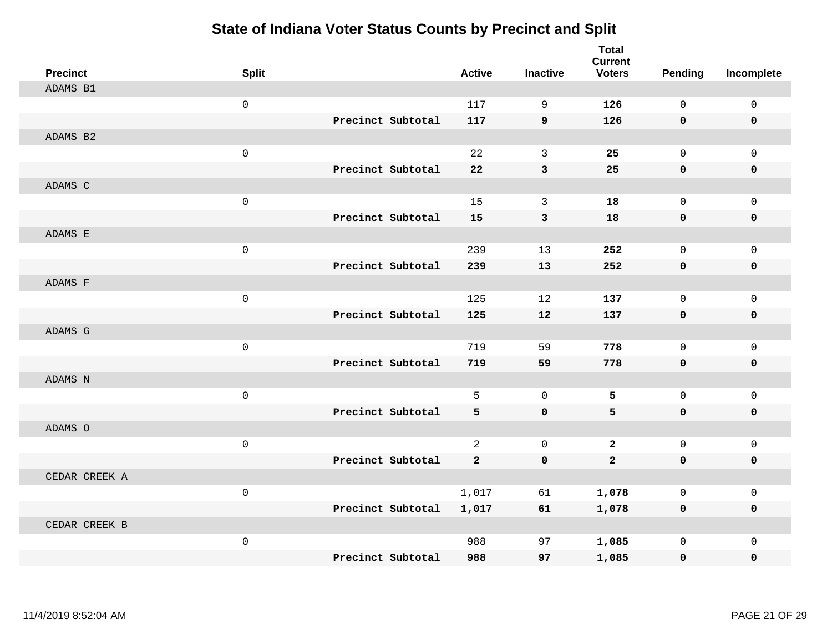| <b>Precinct</b> | <b>Split</b> |                   | <b>Active</b>  | <b>Inactive</b>   | <b>Total</b><br><b>Current</b><br><b>Voters</b> | Pending     | Incomplete  |
|-----------------|--------------|-------------------|----------------|-------------------|-------------------------------------------------|-------------|-------------|
| ADAMS B1        |              |                   |                |                   |                                                 |             |             |
|                 | $\mathbf{0}$ |                   | 117            | 9                 | 126                                             | $\Omega$    | $\mathbf 0$ |
|                 |              | Precinct Subtotal | 117            | 9                 | 126                                             | $\mathbf 0$ | $\mathbf 0$ |
| ADAMS B2        |              |                   |                |                   |                                                 |             |             |
|                 | $\mathsf 0$  |                   | 22             | 3                 | 25                                              | $\mathbf 0$ | $\mathbf 0$ |
|                 |              | Precinct Subtotal | 22             | 3                 | 25                                              | $\mathbf 0$ | 0           |
| ADAMS C         |              |                   |                |                   |                                                 |             |             |
|                 | $\mathsf 0$  |                   | 15             | 3                 | 18                                              | $\mathbf 0$ | $\mathbf 0$ |
|                 |              | Precinct Subtotal | 15             | 3                 | 18                                              | $\mathbf 0$ | $\mathbf 0$ |
| ADAMS E         |              |                   |                |                   |                                                 |             |             |
|                 | $\mathsf 0$  |                   | 239            | 13                | 252                                             | $\mathbf 0$ | $\mathbf 0$ |
|                 |              | Precinct Subtotal | 239            | 13                | 252                                             | $\mathbf 0$ | 0           |
| ADAMS F         |              |                   |                |                   |                                                 |             |             |
|                 | $\mathbf 0$  |                   | 125            | 12                | 137                                             | $\mathbf 0$ | $\mathbf 0$ |
|                 |              | Precinct Subtotal | 125            | $12 \overline{ }$ | 137                                             | $\mathbf 0$ | 0           |
| ADAMS G         |              |                   |                |                   |                                                 |             |             |
|                 | $\mathsf 0$  |                   | 719            | 59                | 778                                             | $\mathbf 0$ | $\mathbf 0$ |
|                 |              | Precinct Subtotal | 719            | 59                | 778                                             | $\mathbf 0$ | 0           |
| ADAMS N         |              |                   |                |                   |                                                 |             |             |
|                 | $\mathbf 0$  |                   | 5              | $\mathbf 0$       | 5                                               | $\mathbf 0$ | $\mathsf 0$ |
|                 |              | Precinct Subtotal | 5              | $\mathbf 0$       | 5                                               | $\mathbf 0$ | 0           |
| ADAMS O         |              |                   |                |                   |                                                 |             |             |
|                 | $\mathsf 0$  |                   | $\overline{a}$ | $\mathbf 0$       | $\mathbf{2}$                                    | $\mathbf 0$ | $\mathbf 0$ |
|                 |              | Precinct Subtotal | $\overline{2}$ | $\mathbf 0$       | $\overline{2}$                                  | $\mathbf 0$ | 0           |
| CEDAR CREEK A   |              |                   |                |                   |                                                 |             |             |
|                 | $\mathbf 0$  |                   | 1,017          | 61                | 1,078                                           | $\mathbf 0$ | $\mathbf 0$ |
|                 |              | Precinct Subtotal | 1,017          | 61                | 1,078                                           | 0           | 0           |
| CEDAR CREEK B   |              |                   |                |                   |                                                 |             |             |
|                 | $\mathsf 0$  |                   | 988            | 97                | 1,085                                           | $\mathbf 0$ | $\mathbf 0$ |
|                 |              | Precinct Subtotal | 988            | 97                | 1,085                                           | $\mathbf 0$ | 0           |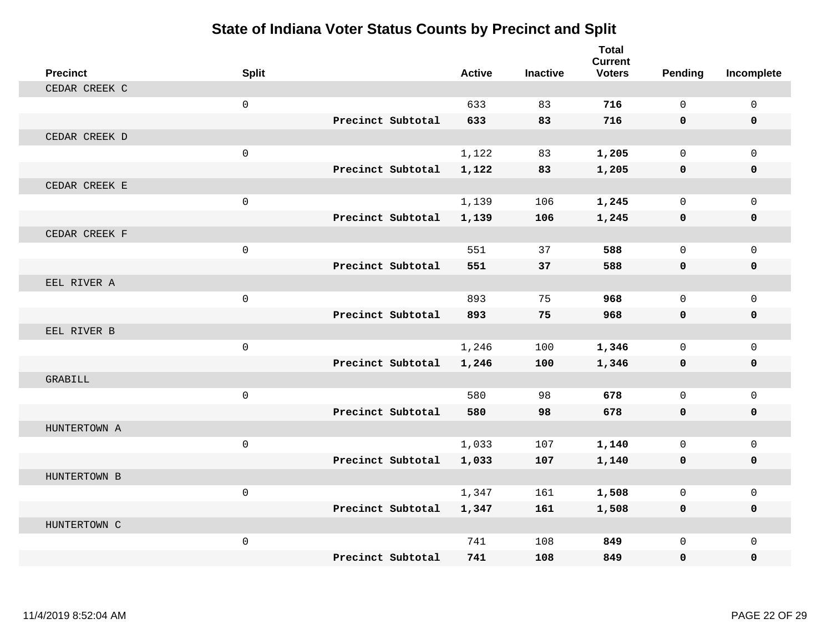| <b>Precinct</b> | <b>Split</b>        |                   | <b>Active</b> | <b>Inactive</b> | <b>Total</b><br><b>Current</b><br><b>Voters</b> | Pending      | Incomplete   |
|-----------------|---------------------|-------------------|---------------|-----------------|-------------------------------------------------|--------------|--------------|
| CEDAR CREEK C   |                     |                   |               |                 |                                                 |              |              |
|                 | $\mathbf 0$         |                   | 633           | 83              | 716                                             | $\Omega$     | $\mathsf{O}$ |
|                 |                     | Precinct Subtotal | 633           | 83              | 716                                             | $\mathbf{0}$ | 0            |
| CEDAR CREEK D   |                     |                   |               |                 |                                                 |              |              |
|                 | $\mathbf 0$         |                   | 1,122         | 83              | 1,205                                           | $\mathbf{0}$ | $\mathbf{0}$ |
|                 |                     | Precinct Subtotal | 1,122         | 83              | 1,205                                           | 0            | 0            |
| CEDAR CREEK E   |                     |                   |               |                 |                                                 |              |              |
|                 | $\mathbf 0$         |                   | 1,139         | 106             | 1,245                                           | $\Omega$     | $\Omega$     |
|                 |                     | Precinct Subtotal | 1,139         | 106             | 1,245                                           | 0            | 0            |
| CEDAR CREEK F   |                     |                   |               |                 |                                                 |              |              |
|                 | $\mathsf{O}\xspace$ |                   | 551           | 37              | 588                                             | $\mathbf 0$  | $\mathbf{0}$ |
|                 |                     | Precinct Subtotal | 551           | 37              | 588                                             | $\mathbf 0$  | 0            |
| EEL RIVER A     |                     |                   |               |                 |                                                 |              |              |
|                 | $\mathbf 0$         |                   | 893           | 75              | 968                                             | $\Omega$     | $\mathbf 0$  |
|                 |                     | Precinct Subtotal | 893           | 75              | 968                                             | $\mathbf 0$  | 0            |
| EEL RIVER B     |                     |                   |               |                 |                                                 |              |              |
|                 | $\mathbf 0$         |                   | 1,246         | 100             | 1,346                                           | $\Omega$     | $\mathbf 0$  |
|                 |                     | Precinct Subtotal | 1,246         | 100             | 1,346                                           | $\mathbf 0$  | 0            |
| GRABILL         |                     |                   |               |                 |                                                 |              |              |
|                 | $\mathbf 0$         |                   | 580           | 98              | 678                                             | $\mathbf 0$  | $\mathbf 0$  |
|                 |                     | Precinct Subtotal | 580           | 98              | 678                                             | $\mathbf{0}$ | $\mathbf 0$  |
| HUNTERTOWN A    |                     |                   |               |                 |                                                 |              |              |
|                 | $\mathbf 0$         |                   | 1,033         | 107             | 1,140                                           | $\mathbf 0$  | $\mathbf 0$  |
|                 |                     | Precinct Subtotal | 1,033         | 107             | 1,140                                           | 0            | 0            |
| HUNTERTOWN B    |                     |                   |               |                 |                                                 |              |              |
|                 | $\mathbf 0$         |                   | 1,347         | 161             | 1,508                                           | $\mathbf 0$  | $\mathbf 0$  |
|                 |                     | Precinct Subtotal | 1,347         | 161             | 1,508                                           | $\mathbf 0$  | $\mathbf 0$  |
| HUNTERTOWN C    |                     |                   |               |                 |                                                 |              |              |
|                 | $\mathbf 0$         |                   | 741           | 108             | 849                                             | $\mathbf 0$  | $\mathbf 0$  |
|                 |                     | Precinct Subtotal | 741           | 108             | 849                                             | 0            | $\mathbf{0}$ |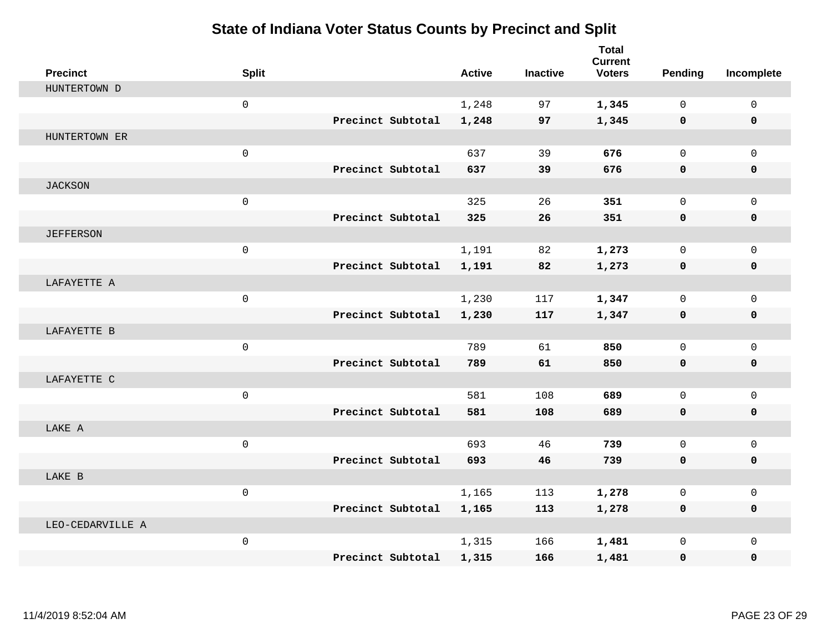| <b>Precinct</b>  | <b>Split</b>        |                   | <b>Active</b> | <b>Inactive</b> | <b>Total</b><br><b>Current</b><br><b>Voters</b> | Pending      | Incomplete   |
|------------------|---------------------|-------------------|---------------|-----------------|-------------------------------------------------|--------------|--------------|
| HUNTERTOWN D     |                     |                   |               |                 |                                                 |              |              |
|                  | $\mathbf 0$         |                   | 1,248         | 97              | 1,345                                           | $\Omega$     | $\mathbf 0$  |
|                  |                     | Precinct Subtotal | 1,248         | 97              | 1,345                                           | $\mathbf 0$  | $\mathbf 0$  |
| HUNTERTOWN ER    |                     |                   |               |                 |                                                 |              |              |
|                  | $\mathsf{O}\xspace$ |                   | 637           | 39              | 676                                             | $\mathbf{0}$ | $\mathbf{0}$ |
|                  |                     | Precinct Subtotal | 637           | 39              | 676                                             | $\mathbf 0$  | 0            |
| <b>JACKSON</b>   |                     |                   |               |                 |                                                 |              |              |
|                  | $\mathsf{O}\xspace$ |                   | 325           | 26              | 351                                             | $\mathbf 0$  | $\mathbf 0$  |
|                  |                     | Precinct Subtotal | 325           | 26              | 351                                             | $\mathbf 0$  | 0            |
| <b>JEFFERSON</b> |                     |                   |               |                 |                                                 |              |              |
|                  | $\mathbf 0$         |                   | 1,191         | 82              | 1,273                                           | $\mathbf 0$  | $\mathbf 0$  |
|                  |                     | Precinct Subtotal | 1,191         | 82              | 1,273                                           | 0            | 0            |
| LAFAYETTE A      |                     |                   |               |                 |                                                 |              |              |
|                  | $\mathbf{0}$        |                   | 1,230         | 117             | 1,347                                           | $\Omega$     | $\mathbf 0$  |
|                  |                     | Precinct Subtotal | 1,230         | 117             | 1,347                                           | $\mathbf 0$  | 0            |
| LAFAYETTE B      |                     |                   |               |                 |                                                 |              |              |
|                  | $\mathsf{O}\xspace$ |                   | 789           | 61              | 850                                             | $\mathbf 0$  | $\mathbf{0}$ |
|                  |                     | Precinct Subtotal | 789           | 61              | 850                                             | $\mathbf 0$  | 0            |
| LAFAYETTE C      |                     |                   |               |                 |                                                 |              |              |
|                  | $\mathsf{O}\xspace$ |                   | 581           | 108             | 689                                             | $\mathbf 0$  | $\mathbf 0$  |
|                  |                     | Precinct Subtotal | 581           | 108             | 689                                             | 0            | 0            |
| LAKE A           |                     |                   |               |                 |                                                 |              |              |
|                  | $\mathbf 0$         |                   | 693           | 46              | 739                                             | $\Omega$     | $\mathbf{0}$ |
|                  |                     | Precinct Subtotal | 693           | 46              | 739                                             | $\mathbf 0$  | 0            |
| LAKE B           |                     |                   |               |                 |                                                 |              |              |
|                  | $\mathbf{0}$        |                   | 1,165         | 113             | 1,278                                           | $\mathbf 0$  | $\mathbf 0$  |
|                  |                     | Precinct Subtotal | 1,165         | 113             | 1,278                                           | 0            | 0            |
| LEO-CEDARVILLE A |                     |                   |               |                 |                                                 |              |              |
|                  | $\mathsf{O}\xspace$ |                   | 1,315         | 166             | 1,481                                           | $\mathbf 0$  | $\mathbf{0}$ |
|                  |                     | Precinct Subtotal | 1,315         | 166             | 1,481                                           | 0            | 0            |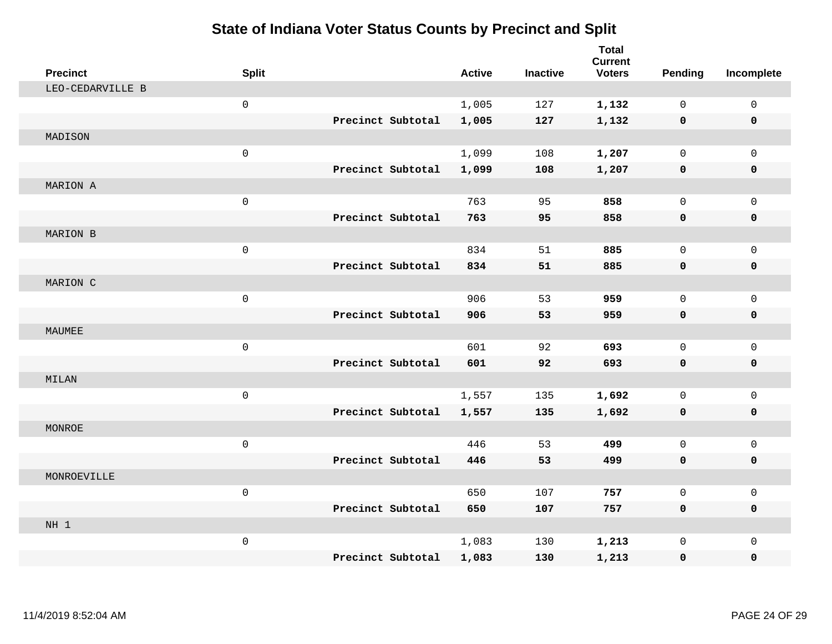| <b>Precinct</b>  | <b>Split</b>        |                   | <b>Active</b> | <b>Inactive</b> | <b>Total</b><br><b>Current</b><br><b>Voters</b> | <b>Pending</b> | Incomplete   |
|------------------|---------------------|-------------------|---------------|-----------------|-------------------------------------------------|----------------|--------------|
| LEO-CEDARVILLE B |                     |                   |               |                 |                                                 |                |              |
|                  | $\mathsf 0$         |                   | 1,005         | 127             | 1,132                                           | $\mathbf 0$    | $\mathsf{O}$ |
|                  |                     | Precinct Subtotal | 1,005         | 127             | 1,132                                           | $\mathbf 0$    | $\mathbf 0$  |
| MADISON          |                     |                   |               |                 |                                                 |                |              |
|                  | $\mathsf{O}\xspace$ |                   | 1,099         | 108             | 1,207                                           | $\mathbf 0$    | $\mathbf{0}$ |
|                  |                     | Precinct Subtotal | 1,099         | 108             | 1,207                                           | $\mathbf 0$    | 0            |
| MARION A         |                     |                   |               |                 |                                                 |                |              |
|                  | $\mathsf{O}\xspace$ |                   | 763           | 95              | 858                                             | $\Omega$       | $\mathsf{O}$ |
|                  |                     | Precinct Subtotal | 763           | 95              | 858                                             | 0              | 0            |
| MARION B         |                     |                   |               |                 |                                                 |                |              |
|                  | $\mathsf{O}\xspace$ |                   | 834           | 51              | 885                                             | $\mathbf 0$    | $\mathsf{O}$ |
|                  |                     | Precinct Subtotal | 834           | 51              | 885                                             | $\mathbf 0$    | 0            |
| MARION C         |                     |                   |               |                 |                                                 |                |              |
|                  | $\mathsf{O}\xspace$ |                   | 906           | 53              | 959                                             | $\mathbf 0$    | $\mathsf{O}$ |
|                  |                     | Precinct Subtotal | 906           | 53              | 959                                             | 0              | 0            |
| MAUMEE           |                     |                   |               |                 |                                                 |                |              |
|                  | $\mathsf{O}\xspace$ |                   | 601           | 92              | 693                                             | $\mathbf 0$    | $\mathsf{O}$ |
|                  |                     | Precinct Subtotal | 601           | 92              | 693                                             | $\mathbf 0$    | 0            |
| MILAN            |                     |                   |               |                 |                                                 |                |              |
|                  | $\mathsf 0$         |                   | 1,557         | 135             | 1,692                                           | $\mathbf 0$    | $\mathsf{O}$ |
|                  |                     | Precinct Subtotal | 1,557         | 135             | 1,692                                           | 0              | 0            |
| MONROE           |                     |                   |               |                 |                                                 |                |              |
|                  | $\mathsf{O}\xspace$ |                   | 446           | 53              | 499                                             | $\mathbf 0$    | $\mathbf 0$  |
|                  |                     | Precinct Subtotal | 446           | 53              | 499                                             | $\mathbf 0$    | 0            |
| MONROEVILLE      |                     |                   |               |                 |                                                 |                |              |
|                  | $\mathsf 0$         |                   | 650           | 107             | 757                                             | $\mathbf 0$    | $\mathbf 0$  |
|                  |                     | Precinct Subtotal | 650           | 107             | 757                                             | 0              | 0            |
| NH <sub>1</sub>  |                     |                   |               |                 |                                                 |                |              |
|                  | $\mathsf{O}\xspace$ |                   | 1,083         | 130             | 1,213                                           | $\mathbf 0$    | $\mathbf 0$  |
|                  |                     | Precinct Subtotal | 1,083         | 130             | 1,213                                           | 0              | $\mathbf 0$  |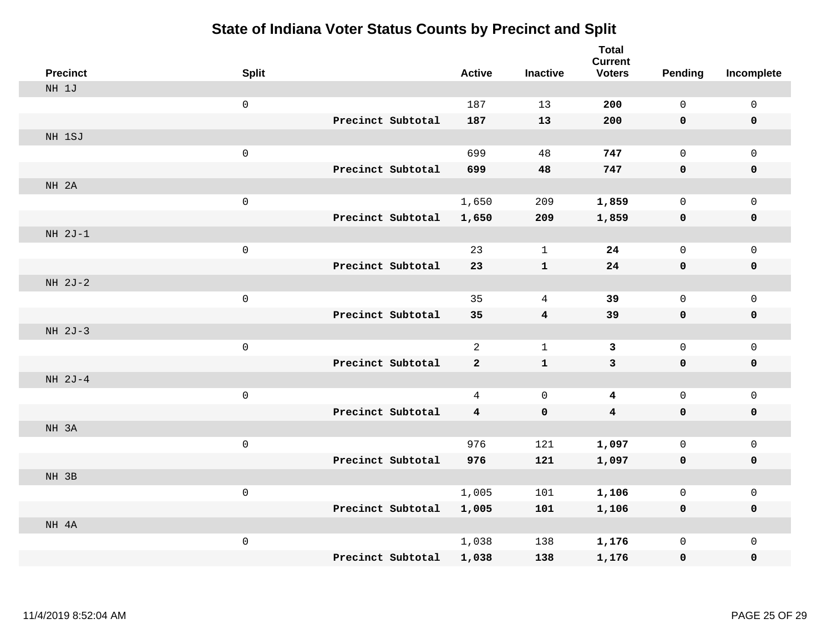| <b>Precinct</b> | <b>Split</b>        |                   | <b>Active</b>           | <b>Inactive</b> | <b>Total</b><br><b>Current</b><br><b>Voters</b> | <b>Pending</b> | Incomplete   |
|-----------------|---------------------|-------------------|-------------------------|-----------------|-------------------------------------------------|----------------|--------------|
| NH 1J           |                     |                   |                         |                 |                                                 |                |              |
|                 | $\mathsf{O}\xspace$ |                   | 187                     | 13              | 200                                             | $\mathbf 0$    | 0            |
|                 |                     | Precinct Subtotal | 187                     | 13              | 200                                             | $\mathbf 0$    | $\mathbf 0$  |
| NH 1SJ          |                     |                   |                         |                 |                                                 |                |              |
|                 | $\mathsf{O}\xspace$ |                   | 699                     | 48              | 747                                             | 0              | $\mathbf 0$  |
|                 |                     | Precinct Subtotal | 699                     | 48              | 747                                             | $\mathbf 0$    | $\pmb{0}$    |
| NH 2A           |                     |                   |                         |                 |                                                 |                |              |
|                 | $\mathsf{O}\xspace$ |                   | 1,650                   | 209             | 1,859                                           | 0              | $\mathsf{O}$ |
|                 |                     | Precinct Subtotal | 1,650                   | 209             | 1,859                                           | 0              | $\mathbf 0$  |
| NH 2J-1         |                     |                   |                         |                 |                                                 |                |              |
|                 | $\mathsf{O}\xspace$ |                   | 23                      | $\mathbf 1$     | 24                                              | 0              | $\mathbf 0$  |
|                 |                     | Precinct Subtotal | 23                      | ${\bf 1}$       | 24                                              | $\mathbf 0$    | $\pmb{0}$    |
| NH 2J-2         |                     |                   |                         |                 |                                                 |                |              |
|                 | $\mathsf{O}\xspace$ |                   | 35                      | $\overline{4}$  | 39                                              | 0              | $\mathbf 0$  |
|                 |                     | Precinct Subtotal | 35                      | 4               | 39                                              | $\mathbf 0$    | $\mathbf 0$  |
| NH 2J-3         |                     |                   |                         |                 |                                                 |                |              |
|                 | $\mathsf{O}\xspace$ |                   | $\overline{a}$          | $\mathbf{1}$    | $\overline{3}$                                  | 0              | $\mathbf 0$  |
|                 |                     | Precinct Subtotal | $\mathbf{2}$            | ${\bf 1}$       | $\mathbf{3}$                                    | $\mathbf 0$    | $\mathbf 0$  |
| NH 2J-4         |                     |                   |                         |                 |                                                 |                |              |
|                 | $\mathbf 0$         |                   | 4                       | $\mathbf 0$     | 4                                               | 0              | $\mathbf 0$  |
|                 |                     | Precinct Subtotal | $\overline{\mathbf{4}}$ | $\mathbf 0$     | $\overline{\mathbf{4}}$                         | $\mathbf 0$    | $\mathbf 0$  |
| NH 3A           |                     |                   |                         |                 |                                                 |                |              |
|                 | $\mathsf{O}\xspace$ |                   | 976                     | 121             | 1,097                                           | 0              | $\mathsf{O}$ |
|                 |                     | Precinct Subtotal | 976                     | 121             | 1,097                                           | 0              | 0            |
| NH 3B           |                     |                   |                         |                 |                                                 |                |              |
|                 | $\mathsf{O}\xspace$ |                   | 1,005                   | 101             | 1,106                                           | 0              | $\mathsf{O}$ |
|                 |                     | Precinct Subtotal | 1,005                   | 101             | 1,106                                           | 0              | 0            |
| NH 4A           |                     |                   |                         |                 |                                                 |                |              |
|                 | $\mathsf{O}\xspace$ |                   | 1,038                   | 138             | 1,176                                           | 0              | $\mathsf{O}$ |
|                 |                     | Precinct Subtotal | 1,038                   | 138             | 1,176                                           | 0              | 0            |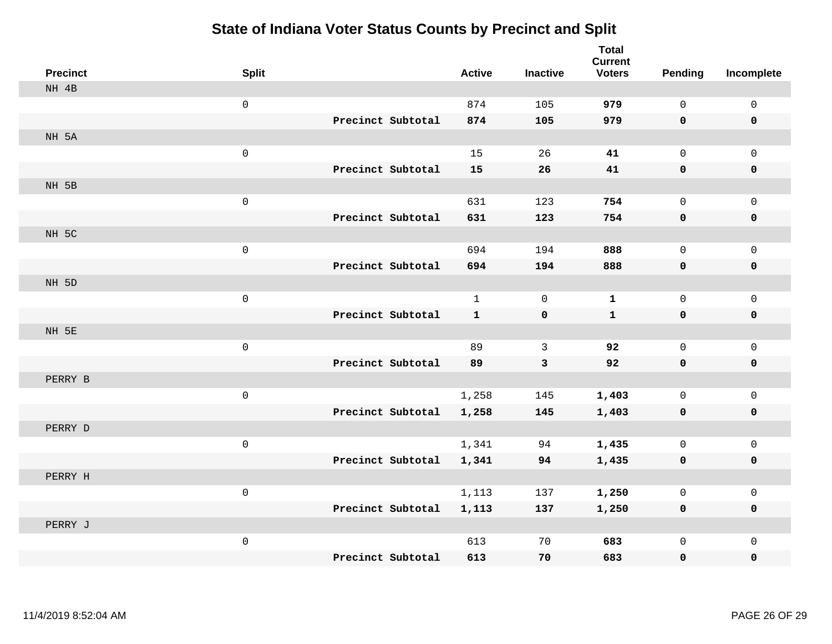| <b>Precinct</b> | <b>Split</b>        |                   | <b>Active</b> | <b>Inactive</b> | <b>Total</b><br><b>Current</b><br><b>Voters</b> | <b>Pending</b> | Incomplete   |
|-----------------|---------------------|-------------------|---------------|-----------------|-------------------------------------------------|----------------|--------------|
| NH 4B           |                     |                   |               |                 |                                                 |                |              |
|                 | $\mathsf{O}\xspace$ |                   | 874           | 105             | 979                                             | $\mathsf{O}$   | $\mathsf{O}$ |
|                 |                     | Precinct Subtotal | 874           | 105             | 979                                             | $\mathbf 0$    | $\mathbf 0$  |
| NH 5A           |                     |                   |               |                 |                                                 |                |              |
|                 | $\mathsf{O}\xspace$ |                   | 15            | 26              | 41                                              | $\mathsf{O}$   | $\mathbf 0$  |
|                 |                     | Precinct Subtotal | 15            | 26              | 41                                              | 0              | $\mathbf 0$  |
| NH 5B           |                     |                   |               |                 |                                                 |                |              |
|                 | $\mathsf{O}\xspace$ |                   | 631           | 123             | 754                                             | 0              | $\mathbf 0$  |
|                 |                     | Precinct Subtotal | 631           | 123             | 754                                             | 0              | $\mathbf 0$  |
| NH 5C           |                     |                   |               |                 |                                                 |                |              |
|                 | $\mathsf{O}\xspace$ |                   | 694           | 194             | 888                                             | 0              | $\mathsf{O}$ |
|                 |                     | Precinct Subtotal | 694           | 194             | 888                                             | 0              | $\pmb{0}$    |
| NH 5D           |                     |                   |               |                 |                                                 |                |              |
|                 | $\mathsf{O}\xspace$ |                   | $\mathbf{1}$  | $\overline{0}$  | $\mathbf 1$                                     | 0              | $\mathbf 0$  |
|                 |                     | Precinct Subtotal | $\mathbf{1}$  | 0               | $\mathbf{1}$                                    | 0              | $\mathbf 0$  |
| NH 5E           |                     |                   |               |                 |                                                 |                |              |
|                 | $\mathsf{O}\xspace$ |                   | 89            | $\mathbf{3}$    | 92                                              | 0              | $\mathbf 0$  |
|                 |                     | Precinct Subtotal | 89            | $\mathbf{3}$    | 92                                              | 0              | $\mathbf 0$  |
| PERRY B         |                     |                   |               |                 |                                                 |                |              |
|                 | $\mathsf{O}\xspace$ |                   | 1,258         | 145             | 1,403                                           | 0              | $\mathsf{O}$ |
|                 |                     | Precinct Subtotal | 1,258         | 145             | 1,403                                           | $\mathbf 0$    | 0            |
| PERRY D         |                     |                   |               |                 |                                                 |                |              |
|                 | $\mathsf{O}\xspace$ |                   | 1,341         | 94              | 1,435                                           | 0              | $\mathsf{O}$ |
|                 |                     | Precinct Subtotal | 1,341         | 94              | 1,435                                           | 0              | $\mathbf 0$  |
| PERRY H         |                     |                   |               |                 |                                                 |                |              |
|                 | $\mathbf 0$         |                   | 1,113         | 137             | 1,250                                           | 0              | $\mathbf 0$  |
|                 |                     | Precinct Subtotal | 1,113         | 137             | 1,250                                           | 0              | $\mathbf 0$  |
| PERRY J         |                     |                   |               |                 |                                                 |                |              |
|                 | $\mathsf{O}\xspace$ |                   | 613           | 70              | 683                                             | 0              | $\mathbf 0$  |
|                 |                     | Precinct Subtotal | 613           | 70              | 683                                             | 0              | $\mathbf 0$  |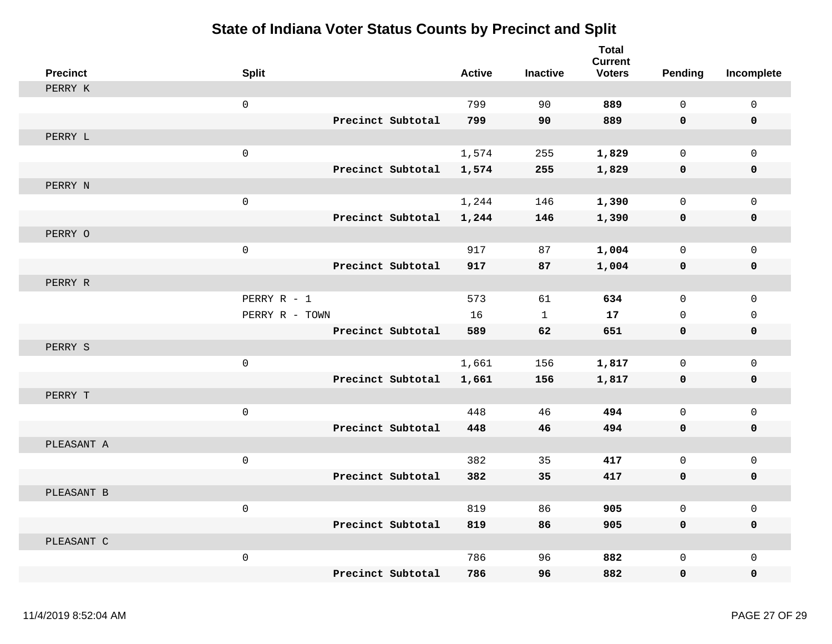| <b>Precinct</b> | <b>Split</b>   |                   | <b>Active</b> | <b>Inactive</b> | <b>Total</b><br><b>Current</b><br><b>Voters</b> | Pending      | Incomplete          |
|-----------------|----------------|-------------------|---------------|-----------------|-------------------------------------------------|--------------|---------------------|
| PERRY K         |                |                   |               |                 |                                                 |              |                     |
|                 | $\mathbf 0$    |                   | 799           | 90              | 889                                             | $\Omega$     | $\mathbf 0$         |
|                 |                | Precinct Subtotal | 799           | 90              | 889                                             | $\mathbf 0$  | 0                   |
| PERRY L         |                |                   |               |                 |                                                 |              |                     |
|                 | $\mathbf 0$    |                   | 1,574         | 255             | 1,829                                           | $\mathbf 0$  | $\mathbf 0$         |
|                 |                | Precinct Subtotal | 1,574         | 255             | 1,829                                           | 0            | 0                   |
| PERRY N         |                |                   |               |                 |                                                 |              |                     |
|                 | $\mathsf 0$    |                   | 1,244         | 146             | 1,390                                           | $\mathsf{O}$ | $\mathsf 0$         |
|                 |                | Precinct Subtotal | 1,244         | 146             | 1,390                                           | $\mathbf 0$  | $\pmb{0}$           |
| PERRY O         |                |                   |               |                 |                                                 |              |                     |
|                 | $\mathbf 0$    |                   | 917           | 87              | 1,004                                           | $\mathbf{0}$ | 0                   |
|                 |                | Precinct Subtotal | 917           | 87              | 1,004                                           | 0            | $\pmb{0}$           |
| PERRY R         |                |                   |               |                 |                                                 |              |                     |
|                 | PERRY R - 1    |                   | 573           | 61              | 634                                             | $\Omega$     | $\mathbf 0$         |
|                 | PERRY R - TOWN |                   | 16            | $\mathbf{1}$    | 17                                              | $\mathbf{0}$ | $\mathbf 0$         |
|                 |                | Precinct Subtotal | 589           | 62              | 651                                             | $\mathbf 0$  | $\mathbf 0$         |
| PERRY S         |                |                   |               |                 |                                                 |              |                     |
|                 | $\mathsf 0$    |                   | 1,661         | 156             | 1,817                                           | $\mathbf 0$  | $\mathsf{O}\xspace$ |
|                 |                | Precinct Subtotal | 1,661         | 156             | 1,817                                           | 0            | 0                   |
| PERRY T         |                |                   |               |                 |                                                 |              |                     |
|                 | $\mathbf 0$    |                   | 448           | 46              | 494                                             | $\mathbf 0$  | $\mathbf 0$         |
|                 |                | Precinct Subtotal | 448           | 46              | 494                                             | $\mathbf 0$  | 0                   |
| PLEASANT A      |                |                   |               |                 |                                                 |              |                     |
|                 | $\mathsf 0$    |                   | 382           | 35              | 417                                             | $\mathbf 0$  | $\mathbf 0$         |
|                 |                | Precinct Subtotal | 382           | 35              | 417                                             | 0            | 0                   |
| PLEASANT B      |                |                   |               |                 |                                                 |              |                     |
|                 | $\mathbf 0$    |                   | 819           | 86              | 905                                             | $\mathbf 0$  | $\mathsf 0$         |
|                 |                | Precinct Subtotal | 819           | 86              | 905                                             | $\mathbf 0$  | $\mathbf 0$         |
| PLEASANT C      |                |                   |               |                 |                                                 |              |                     |
|                 | $\mathsf 0$    |                   | 786           | 96              | 882                                             | $\mathsf{O}$ | $\mathsf 0$         |
|                 |                | Precinct Subtotal | 786           | 96              | 882                                             | $\mathbf 0$  | 0                   |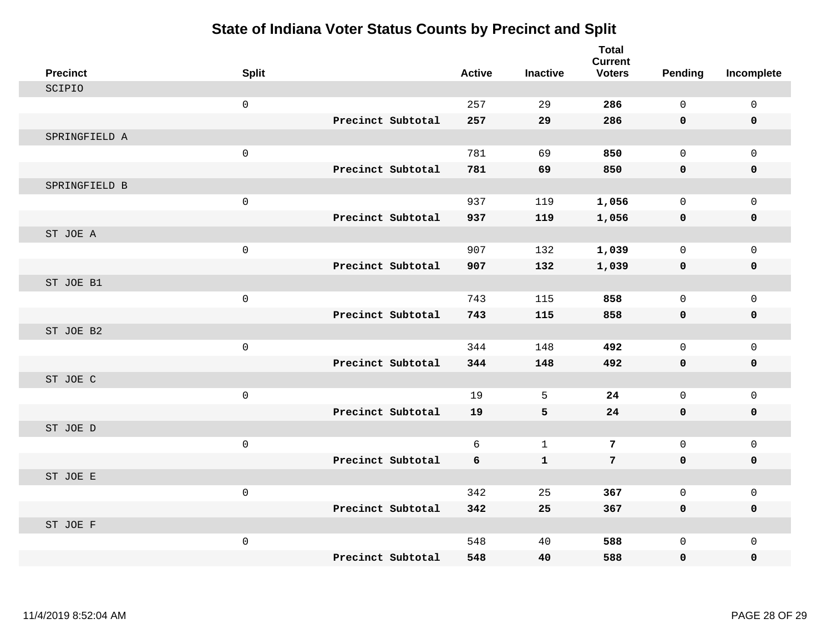| <b>Precinct</b> | <b>Split</b>        |                   | <b>Active</b> | <b>Inactive</b> | <b>Total</b><br><b>Current</b><br><b>Voters</b> | <b>Pending</b> | Incomplete   |
|-----------------|---------------------|-------------------|---------------|-----------------|-------------------------------------------------|----------------|--------------|
| SCIPIO          |                     |                   |               |                 |                                                 |                |              |
|                 | $\mathsf 0$         |                   | 257           | 29              | 286                                             | 0              | $\mathsf 0$  |
|                 |                     | Precinct Subtotal | 257           | 29              | 286                                             | 0              | 0            |
| SPRINGFIELD A   |                     |                   |               |                 |                                                 |                |              |
|                 | $\mathsf 0$         |                   | 781           | 69              | 850                                             | $\mathbf 0$    | $\mathsf{O}$ |
|                 |                     | Precinct Subtotal | 781           | 69              | 850                                             | 0              | 0            |
| SPRINGFIELD B   |                     |                   |               |                 |                                                 |                |              |
|                 | $\mathsf{O}\xspace$ |                   | 937           | 119             | 1,056                                           | 0              | $\mathsf{O}$ |
|                 |                     | Precinct Subtotal | 937           | 119             | 1,056                                           | 0              | 0            |
| ST JOE A        |                     |                   |               |                 |                                                 |                |              |
|                 | $\mathsf{O}$        |                   | 907           | 132             | 1,039                                           | $\mathbf 0$    | $\mathbf 0$  |
|                 |                     | Precinct Subtotal | 907           | 132             | 1,039                                           | 0              | 0            |
| ST JOE B1       |                     |                   |               |                 |                                                 |                |              |
|                 | $\mathsf{O}$        |                   | 743           | 115             | 858                                             | $\Omega$       | $\mathsf{O}$ |
|                 |                     | Precinct Subtotal | 743           | 115             | 858                                             | 0              | 0            |
| ST JOE B2       |                     |                   |               |                 |                                                 |                |              |
|                 | $\mathsf{O}$        |                   | 344           | 148             | 492                                             | $\mathbf 0$    | $\mathbf{0}$ |
|                 |                     | Precinct Subtotal | 344           | 148             | 492                                             | 0              | 0            |
| ST JOE C        |                     |                   |               |                 |                                                 |                |              |
|                 | $\mathsf{O}$        |                   | 19            | 5               | 24                                              | $\Omega$       | $\mathbf 0$  |
|                 |                     | Precinct Subtotal | 19            | 5               | 24                                              | 0              | $\mathbf 0$  |
| ST JOE D        |                     |                   |               |                 |                                                 |                |              |
|                 | $\mathsf{O}$        |                   | 6             | $\mathbf 1$     | $\overline{7}$                                  | $\mathbf 0$    | $\mathsf{O}$ |
|                 |                     | Precinct Subtotal | 6             | ${\bf 1}$       | $\overline{7}$                                  | 0              | 0            |
| ST JOE E        |                     |                   |               |                 |                                                 |                |              |
|                 | $\mathsf{O}$        |                   | 342           | 25              | 367                                             | 0              | 0            |
|                 |                     | Precinct Subtotal | 342           | 25              | 367                                             | 0              | 0            |
| ST JOE F        |                     |                   |               |                 |                                                 |                |              |
|                 | $\mathsf{O}\xspace$ |                   | 548           | 40              | 588                                             | 0              | $\mathsf{O}$ |
|                 |                     | Precinct Subtotal | 548           | 40              | 588                                             | 0              | 0            |